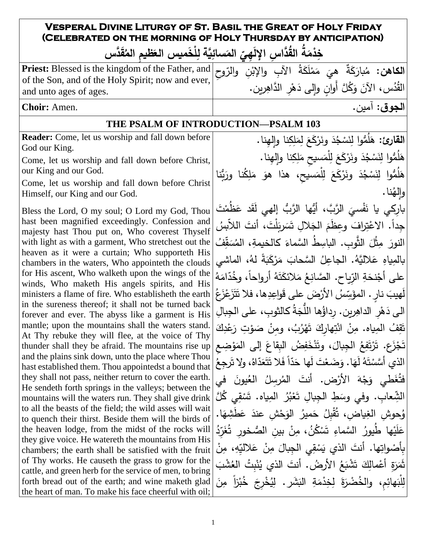### **Vesperal Divine Liturgy of St. Basil the Great of Holy Friday (Celebrated on the morning of Holy Thursday by anticipation)**

**ية َّ ِ َسائ ِ الم دا ِس اإلَلِهي ُقَّ ُة ال َ ْ م د ِخ س د َقَّ ُ َظيمِ الم َخميس الع ْل ِ ل**

| <b>Priest:</b> Blessed is the kingdom of the Father, and [إِبْنِ والرّبي والرّبي والرّبي والرّبي الله [Priest: Blessed is the kingdom of the Father, and [عَلَيْهِ الرّب |  |  |  |                                                           |
|--------------------------------------------------------------------------------------------------------------------------------------------------------------------------|--|--|--|-----------------------------------------------------------|
|                                                                                                                                                                          |  |  |  |                                                           |
| and unto ages of ages.                                                                                                                                                   |  |  |  | القُدُس، الآنَ وَكُلَّ أَوانِ وإِلى دَهْرِ الذَّاهِرِينِ. |
|                                                                                                                                                                          |  |  |  |                                                           |

**الجوق:** آمين. .Amen **:Choir**

### **THE PSALM OF INTRODUCTION—PSALM 103**

**Reader:** Come, let us worship and fall down before God our King.

Come, let us worship and fall down before Christ, our King and our God.

Come, let us worship and fall down before Christ Himself, our King and our God.

ministers a flame of fire. Who establisheth the earth فَلا تَتَزَعْزَعُ ministers a flame of fire. Who establisheth the earth فَلا تَتَزَعْزَعُ ministers a flame of fire. Who establisheth the earth فَلا تَتَزَعْزَعُ m the Bless the Lord, O my soul; O Lord my God, Thou hast been magnified exceedingly. Confession and majesty hast Thou put on, Who coverest Thyself with light as with a garment, Who stretchest out the heaven as it were a curtain; Who supporteth His chambers in the waters, Who appointeth the clouds for His ascent, Who walketh upon the wings of the winds, Who maketh His angels spirits, and His in the sureness thereof; it shall not be turned back forever and ever. The abyss like a garment is His mantle; upon the mountains shall the waters stand. At Thy rebuke they will flee, at the voice of Thy thunder shall they be afraid. The mountains rise up and the plains sink down, unto the place where Thou hast established them. Thou appointedst a bound that they shall not pass, neither return to cover the earth. He sendeth forth springs in the valleys; between the mountains will the waters run. They shall give drink to all the beasts of the field; the wild asses will wait to quench their thirst. Beside them will the birds of the heaven lodge, from the midst of the rocks will they give voice. He watereth the mountains from His chambers; the earth shall be satisfied with the fruit of Thy works. He causeth the grass to grow for the cattle, and green herb for the service of men, to bring forth bread out of the earth; and wine maketh glad the heart of man. To make his face cheerful with oil;

ا**لقارئ:** هَلُمُّوا لِنَسْجُدَ وِنَرْكَعَ لِمَلِكِنا وإِلمِنا.<br>' ا<br>ا  $\zeta$ **ٔ** ْ هَلُمُّوا لِنَسْجُدَ ونَرْكَعَ لِلْمَسِيحِ مَلِكِنا وإِلمِنا. ً<br>ً ا<br>ا  $\zeta$ .<br>ا ْ هَلُمُّوا لِنَسْجُدَ ونَرْكَعَ لِلْمَسيحِ، هذا هوَ مَلِكُنا ورَبُّنا .<br>م ا<br>ا َ ا<br>ا  $\zeta$ .<br>ا ْ وإلهُنا.  $\ddot{•}$ بَارِكِي يا نَفْسيَ الرَّبَّ، أَيُّها الرَّبُّ إِلَهي لَقَد عَظَمْتَ<br>. <u>ء</u> جِداً. الاعْتِرافَ وعِظَمَ الجَلالِ تَسَرِبَلْتَ، أنتَ اللاَّبِسُ  $\overline{\phantom{a}}$ <u>با</u><br>: ـا<br>ا مُ **ٔ** النورَ مِثْلَ الثَّوبِ. الباسِطُ السَّماءَ كالخيمةِ، المُسَقِّفُ ً<br>ب **ء**<br>• بالمِياهِ عَلاليَّهُ. الجاعِلُ السَّحابَ مَرْكَبَةً لهُ، الماشي َ َ .<br>ا ا<br>ا **∶** على أجْنحَةِ الرِّياحِ. الصَّانِعُ مَلائكَتَهُ أرواحاً، وخُدّامَهُ<br>ِ **ٔ** ً<br>ً َ بِّسُ الأَرْضَ على قَواعِدِها، فلا تَتَزَعْزَعُ <u>َ</u> الى دَهْرِ الداهِرين. رِداؤُها اللَّجَةُ كالثوبِ، على الجِبالِ ر<br>د َ َ تَقِفُ المِياه. مِنْ انْتِهارِكَ تَهْرُبُ، ومِنْ صَوْتِ رَعْدِكَ ْ <u>ٔ</u> َ .<br>ا ֡<u>֚</u>ׇ֖֚֡ <u>:</u> تَجْزَع. تَرْتَفِعُ الجِبالَ، وتَتْخَفِضُ البِقاعَ إلى المَوْضِعِ .<br>أ ْ ا<br>ا َ َ َ  $\overline{\phantom{a}}$ الذي أَسَّسْتَهُ لَهَا. وَضَعْتَ لَها حَدّاً فَلا تَتَعَدّاهُ، ولا تَرجِعُ َ <u>َ</u> َ َ ْ فتُغَطي وَجْهَ الأَرْض. أَنتَ المُرسِلُ العُيونَ في .<br>ا **ٔ** الشِّعابِ. وفي وسَطِ الجِبالِ تَعْبُرُ المِياه. تَسْقِي كُلَّ ْ ْ َ يا ِض، ت حو ِش الغِ و ا. َطِشه َ ع ِش عند ح الو مير ح ِبل ق  $\epsilon$ <u>م</u> **ٔ** َ َ ُ<br>ا عَلَيْها طُيورُ السَّماءِ تَسْكُنُ، مِنْ بينِ الصُّخورِ تُغَرِّدُ<br>م <u>:</u> ْ **ٔ** <u>:</u> بِأَصْواتِها. أنتَ الذي يَسْقِي الجِبالَ مِنْ عَلاليِّهِ، مِنْ  $\overline{\phantom{a}}$ ْ **∶** ثَمَرَةِ أَعْمالِكَ تَشْبَعُ الأَرضُ. أنتَ الذي يُنْبِتُ الْعُشْبَ<br>. <u>ا</u><br>ا ؘ<br>֞ ْ  $\ddot{\phantom{a}}$ لِلْبَهائِمِ، والخُضْرَةَ لِخِدْمَةِ البَشَرِ. لِيُخْرِجَ خُبْرْاً مِنَ َ  $\frac{1}{\sqrt{2}}$ ْ َ ا<br>ا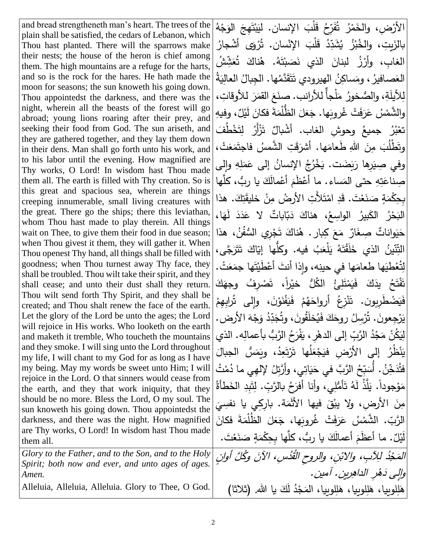and bread strengtheneth man's heart. The trees of the plain shall be satisfied, the cedars of Lebanon, which Thou hast planted. There will the sparrows make their nests; the house of the heron is chief among them. The high mountains are a refuge for the harts, and so is the rock for the hares. He hath made the moon for seasons; the sun knoweth his going down. Thou appointedst the darkness, and there was the night, wherein all the beasts of the forest will go abroad; young lions roaring after their prey, and seeking their food from God. The sun ariseth, and they are gathered together, and they lay them down in their dens. Man shall go forth unto his work, and to his labor until the evening. How magnified are Thy works, O Lord! In wisdom hast Thou made them all. The earth is filled with Thy creation. So is this great and spacious sea, wherein are things creeping innumerable, small living creatures with the great. There go the ships; there this leviathan, whom Thou hast made to play therein. All things wait on Thee, to give them their food in due season; when Thou givest it them, they will gather it. When Thou openest Thy hand, all things shall be filled with goodness; when Thou turnest away Thy face, they shall be troubled. Thou wilt take their spirit, and they shall cease; and unto their dust shall they return. Thou wilt send forth Thy Spirit, and they shall be created; and Thou shalt renew the face of the earth. Let the glory of the Lord be unto the ages; the Lord will rejoice in His works. Who looketh on the earth and maketh it tremble, Who toucheth the mountains and they smoke. I will sing unto the Lord throughout my life, I will chant to my God for as long as I have my being. May my words be sweet unto Him; I will rejoice in the Lord. O that sinners would cease from the earth, and they that work iniquity, that they should be no more. Bless the Lord, O my soul. The sun knoweth his going down. Thou appointedst the darkness, and there was the night. How magnified are Thy works, O Lord! In wisdom hast Thou made them all.

*Glory to the Father, and to the Son, and to the Holy Spirit; both now and ever, and unto ages of ages. Amen.*

Alleluia, Alleluia, Alleluia. Glory to Thee, O God.

الأَرْضِ، والخَمْرُ ۖ ثُفَرِّحُ قَلْبَ الإِنسانِ. ليَبْتَهِجَ الوَجْهُ **ٔ** َ  $\ddot{\cdot}$ <u>َ</u> ْ .<br>با **:** ا<br>، .<br>ب دِّدُ قَلْبَ الإِنْسانِ. تُرْوَى أشْجارُ .<br>م **∶** بالزَيتِ، والخُبْزُ يُشَدِّ الغابِ، وأرْزُ لبنانَ الذي نَصَبْتَهُ. هُناكَ تُعَشِّشُ **ء** َ ْ َ .<br>-العَصـافيرُ ، ومَساكِنُ الهيرودي تَتَقَدَّمُها. الجِبالُ العالِيَةُ<br>- $\ddot{ }$ .<br>م <u>بَ</u>ّ <u>َ</u> لِلأَيلَةِ، والصُّخورُ مَلْجأٌ للأرانب. صنَعَ القمَرَ للأوقاتِ، َ ا<br>ا َ ا<br>ا والشَّمْسُ عَرَفَتْ غُروبَها. جَعَلَ الظُّلْمَةَ فكانَ لَيْلٌ، وفيهِ .<br>ا ا<br>ا  $\overline{\phantom{a}}$ َ ֺ֧<sup>ֺ</sup> .<br>. تعْبُرُ جميعُ وحوشِ الغاب. أشْبالٌ تَزْأَرُ لِتَخْطُفَ<br>\*\*\* ْ وتَطْلُبَ مِنَ اللهِ طَعامَها. أشرَقَتِ الشَّمسُ فاجتَمَعَتْ، ا<br>ا ا<br>ا َ َ وفي صِيَرِها رَبَضَت. يَخْرُجُ الإنسانُ إلى عَمَلِهِ وإِلَى ً<br>ً <u>ء</u> صِناعَتِهِ حتى المَساء. ما أعْظَمَ أعْمالَكَ يا ربُ، كلَّها | َ ْ مُ ْ ا<br>. بِحِكْمَةٍ صَنَعْتَ. قَدِ امْتَلأَتِ الأَرضُ مِنْ خليقَتِكَ. هذا .<br>أ .<br>م ا<br>ا البَحْرُ الكَبيرُ الواسِعُ، هناكَ دَبّاباتٌ لا عَدَدَ لَهَا،<br>-.<br>ا َ  $\epsilon$ .<br>ا .<br>-ء<br>. حَيَواناتٌ صِغَارٌ مَعَ كِبارٍ. هُناكَ تَجْرِي السُّفُنُ، هذا **:** .<br>ا  $\zeta$ ا<br>ا التِّتّينُ الذي خَلَقْتَهُ يَلْعَبُ فيه. وكلُّها إِيّاكَ تَتَرَجَّى،<br>. َ <u>آ</u> .<br>ا  $\ddot{\phantom{0}}$ َ لِتُعْطٰيَها طعامَها في حينِه، وإذا أنتَ أعْطَيْتَها جمَعَتْ.<br>-ا<br>ا ْ أ ْ <u>بَ</u> تَفْتَحُ يدَكَ فَيَمْتَلِئُ الكُلُّ خيْراً، تَصْرِفُ وجهَكَ ْ <u>َ</u> ا<br>. .<br>ا .<br>م َ ْ فَيَضْطُرِبونِ. تَنْزِعُ أَرواحَهُمْ فَيَفْنَوْنَ، وإِلى تُرابِهِمْ <u>َ</u> ْ .<br>م  $\ddot{\phantom{0}}$ <u>ہ</u> ْ َ ֡֡֡<u>֡</u> <u>آ</u> دِّدُ وَجْهَ الأرض. َ **ٔ** ءِ<br>، يَرْجِعونَ . تُرْسِلُ روحَكَ فَيُخلَقُونَ، وتُجَدِّ **∶** <u>َ</u>ـٰ <u>ہ</u> َ .<br>ا .<br>أ بِّ إلى الدهْرِ ، يَفْرَحُ الزَّبُّ بأعمالِه. الذي  $\ddot{ }$ ى<br>ئا لِيَكُُنْ مَجْدُ الرَّبِّ<br>م **ٔ** يَنْظُرُ إلى الأَرْضِ فيَجْعَلُها تَرْتَعِدُ، ويَمَسُ الجبالَ<br>. َ **ٔ ـ** ֺ֧<u>֚</u> .<br>ب  $\overline{\phantom{a}}$ ا<br>ا .<br>ا فتُدَخِّنُ . أُسَبِّحُ الرَّبَّ في حَيَاتِي، وأَرَّتِلُ لإلهِي ما دُمْتُ<br>. <u>َ:</u> َ مَوْجوداً. يَلَّذُ لَهُ تَأْمُّلِي، وأنا أفرَحُ بالرَّبِّ. لِتَبِدِ الخَطأةُ ׅ֡֡֡֡֡֡֡֡֡֡֡֡֡֡֡֡֡֡֡֡֡֡֡֡֡֡֡֡ <u>َ</u>ـَـ ْ .<br>-مِنَ الأرضِ، ولا يبْقَ فيها الأَثْمَة. بارِكِي يا نفسِيَ ا<br>ا  $\overline{\phantom{0}}$ الرَّبّ. الشَّمْسُ عَرَفَتْ غُروبَها، جَعَلَ الظُلْمَةَ فكانَ<br>ِ .<br>م .<br>ا ا<br>ا  $\overline{\phantom{a}}$ َ ֺ֧<sup>ֺ</sup> **:** لَيْلٌ. ما أعظَمَ أعمالَكَ يا ربُ، كلَّها بِحِكْمَةٍ صَنَعْتَ.<br>. َ  $\overline{a}$ َ لِلِآبِ، والابْنِ، والروحِ القُدُسِ، الآنَ وكُلَّ أوانٍ ئر المَجْذَ والي دَهْرِ الداهِرينِ. آمينِ. هَلِلوبِيا، هَلِلوبِيا، المَجْدُ لَكَ يا الله. (ثلاثا) َ ֺ<u>֓</u> ،<br>ا

 $\overline{a}$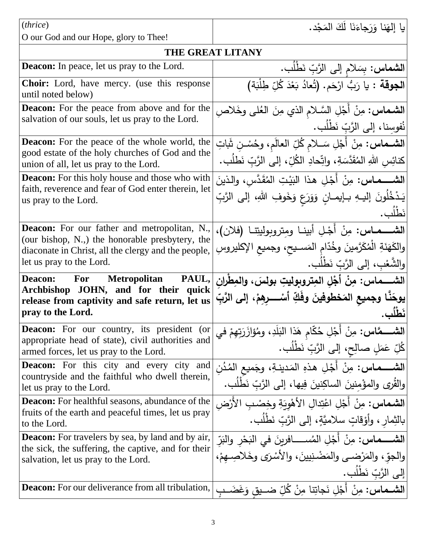| ( <i>thrice</i> )                                                                                                                                                                         | يا إلهَنا وَرَجاءَنَا لَكَ الْمَجْدِ.                                                                                                                            |
|-------------------------------------------------------------------------------------------------------------------------------------------------------------------------------------------|------------------------------------------------------------------------------------------------------------------------------------------------------------------|
| O our God and our Hope, glory to Thee!                                                                                                                                                    |                                                                                                                                                                  |
|                                                                                                                                                                                           | THE GREAT LITANY                                                                                                                                                 |
| <b>Deacon:</b> In peace, let us pray to the Lord.                                                                                                                                         | ا <b>لشماس:</b> بِسَلام إلى الرَّبِّ نَطْلُب.                                                                                                                    |
| <b>Choir:</b> Lord, have mercy. (use this response<br>until noted below)                                                                                                                  | ا <b>لجوقة</b> : يا رَبُّ ارْحَم. (تُعادُ بَعْدَ كُلِّ طِلْبَة)                                                                                                  |
| <b>Deacon:</b> For the peace from above and for the<br>salvation of our souls, let us pray to the Lord.                                                                                   | ا <b>لشـمـاس:</b> مِنْ أَجْلِ السَّـلام الذي مِنَ العُلى وخَلاصِ<br>نُفوسِنا، إلى الرَّبِّ نَطْلُبٍ.                                                             |
| <b>Deacon:</b> For the peace of the whole world, the<br>good estate of the holy churches of God and the<br>union of all, let us pray to the Lord.                                         | الشـماس: مِنْ أَجْلِ سَــلام كُلِّ العالَم، وحُسْـنِ شَاتِ<br>كنائِسِ اللهِ المُقَدَّسَةِ، واتِّحادِ الكُلِّ، إلى الرَّبِّ نَطلُب.                               |
| <b>Deacon:</b> For this holy house and those who with<br>faith, reverence and fear of God enter therein, let<br>us pray to the Lord.                                                      | ا <b>لشـــــمـاس:</b> مِنْ أَجْلِ هذا ال <sub>لَ</sub> يْتِ المُقَدَّس، والذينَ<br>يَدْخُلُونَ إليهِ بـإيمـانٍ وَوَرَعٍ وَخَوفِ اللهِ، إلى الرَّبِّ<br>نَطلُبٍ.  |
| <b>Deacon:</b> For our father and metropolitan, N.,<br>(our bishop, N.,) the honorable presbytery, the<br>diaconate in Christ, all the clergy and the people,<br>let us pray to the Lord. | الشـــــمـاس: مِنْ أَجْـلِ أبينـا ومِتروبوليتِنـا (فلان)،<br>والكَهَنَةِ الْمُكَرَّمينَ وخُدّام المَسـيح، وجميع الإكليروسِ<br>والشَّعْبِ، إلى الرَّبِّ نَطْلُبٍ. |
| For Metropolitan<br>PAUL,<br><b>Deacon:</b><br>Archbishop JOHN, and for their quick<br>release from captivity and safe return, let us<br>pray to the Lord.                                | الشـــــــماس: مِنْ أَجْلِ المِتروبِوليتِ بولسَ، والمعِطْران<br>يوحَنَّا وجميع المَخطوفينَ وفَكِّ أسْـــــرِهِمْ، إلى الرَّبِّ<br>نَطْلُب                        |
| <b>Deacon:</b> For our country, its president (or<br>appropriate head of state), civil authorities and<br>armed forces, let us pray to the Lord.                                          | ا <b>لشــــمَّاس:</b> مِنْ أَجْلِ حُكَّامِ هَذا النَلَدِ، ومُؤازَرَتِهِمْ في<br>.<br>كُلِّ عَمَلٍ صالِحٍ، إلى الرَّبِّ نَطْلُبٍ.                                 |
| <b>Deacon:</b> For this city and every city and<br>countryside and the faithful who dwell therein,<br>let us pray to the Lord.                                                            | ا <b>لشـــــمـاس:</b> مِنْ أَجْلِ هذهِ المَدينـةِ، وجَميعِ المُدُنِ<br>والقُرى والمؤْمنينَ الساكِنينَ فِيها، إلى الرَّبِّ نَطْلُبٍ.                              |
| <b>Deacon:</b> For healthful seasons, abundance of the<br>fruits of the earth and peaceful times, let us pray<br>to the Lord.                                                             | ا <b>لشماس:</b> مِنْ أَجْلِ اعْتِدالِ الأَهْوِيَةِ وخِصْبِ الأَرْضِ<br>بالثِمارِ ، وأَوْقاتٍ سلاميَّةٍ، إلى الرَّبِّ نَطْلُبٍ.                                   |
| <b>Deacon:</b> For travelers by sea, by land and by air,<br>the sick, the suffering, the captive, and for their<br>salvation, let us pray to the Lord.                                    | والجوِّ، والمَرْضىي والمَضْنِيينَ، والأَسْرَى وخَلاصِـهمْ،<br>إلى الرَّبِّ نَطْلُب.                                                                              |
| <b>Deacon:</b> For our deliverance from all tribulation,                                                                                                                                  | ا <b>لشــماس:</b> مِنْ أَجْلِ نَجاتِنا مِنْ كُلّ ضــيق وَغَضَــب                                                                                                 |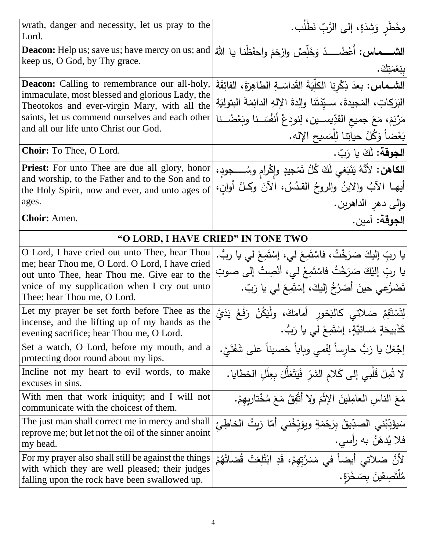| wrath, danger and necessity, let us pray to the<br>Lord.                                                                                                                                                                                           | وخَطَرِ وَشِدَةٍ، إلى الرَّبِّ نَطْلُب.                                                                                                                                                                                                                         |
|----------------------------------------------------------------------------------------------------------------------------------------------------------------------------------------------------------------------------------------------------|-----------------------------------------------------------------------------------------------------------------------------------------------------------------------------------------------------------------------------------------------------------------|
| <b>Deacon:</b> Help us; save us; have mercy on us; and<br>keep us, O God, by Thy grace.                                                                                                                                                            | الشـــــماس: أَعْضُـــــدْ وَخَلِّصْ وارْحَمْ واحفَظْنا يا اللهُ<br>بنِعْمَتِكَ.                                                                                                                                                                                |
| <b>Deacon:</b> Calling to remembrance our all-holy,<br>immaculate, most blessed and glorious Lady, the<br>Theotokos and ever-virgin Mary, with all the<br>saints, let us commend ourselves and each other<br>and all our life unto Christ our God. | الشـماس: بعدَ ذِكْرِنا الكلِّيَةَ القَداسَةِ الطاهِرَةَ، الفائِقَةَ<br>البَرَكاتِ، المَجيدةَ، سـيّدَتَنا والِدةَ الإِلهِ الدائِمَةَ البتوليَةِ<br>مَرْيَمَ، مَعَ جميع القدِّيسـين، لِنودِعْ أنفُسَـنا وبَعْضُــنا<br>بَعْضاً وَكُلَّ حياتِنا لِلْمَسيحِ الإِله. |
| <b>Choir:</b> To Thee, O Lord.                                                                                                                                                                                                                     | الجوقة: لَكَ يا رَبّ.                                                                                                                                                                                                                                           |
| <b>Priest:</b> For unto Thee are due all glory, honor<br>and worship, to the Father and to the Son and to<br>the Holy Spirit, now and ever, and unto ages of<br>ages.                                                                              | الكاهن: لأنَّهُ يَنْبَغي لَكَ كُلُّ تَمْجِيدِ وإِكْرامِ وسُــــجودٍ،<br>أيها الآبُ والابنُ والروحُ القدُسُ، الآنَ وكلَّ أوانِ،<br>وإلى دهرِ الداهرين.                                                                                                           |
| Choir: Amen.                                                                                                                                                                                                                                       | الجوقة: آمين.                                                                                                                                                                                                                                                   |
|                                                                                                                                                                                                                                                    | "O LORD, I HAVE CRIED" IN TONE TWO                                                                                                                                                                                                                              |
| O Lord, I have cried out unto Thee, hear Thou<br>me; hear Thou me, O Lord. O Lord, I have cried<br>out unto Thee, hear Thou me. Give ear to the<br>voice of my supplication when I cry out unto<br>Thee: hear Thou me, O Lord.                     | يا ربِّ إليكَ صَرَخْتُ، فاسْتَمِعْ لي، إسْتَمِعْ لي يا ربُّ.<br>يا ربِّ إليْكَ صَرَخْتُ فاسْتَمِعْ لي، أَنْصِتْ إلى صوتِ<br>تَضَرُّعي حينَ أَصْرُخُ إِلَيكَ، إِسْتَمِعْ لِي يا رَبِّ.                                                                           |
| Let my prayer be set forth before Thee as the<br>incense, and the lifting up of my hands as the<br>evening sacrifice; hear Thou me, O Lord.                                                                                                        | ْ لِتَسْتَقِمْ   صَـلاتي   كالنَخور    أمامَكَ،   ولْيَكُنْ   رَفْعُ   يَدَيَّ<br>كَذَبِيحَةٍ مَسائيَّةٍ، إِسْتَمِعْ لَى يا رَبُّ.                                                                                                                              |
| Set a watch, O Lord, before my mouth, and a<br>protecting door round about my lips.                                                                                                                                                                | [إِجْعَلْ يا رَبُّ حارِساً لِفَمي وبِاباً حَصيناً على شَفَتَيَّ.                                                                                                                                                                                                |
| Incline not my heart to evil words, to make<br>excuses in sins.                                                                                                                                                                                    | لا تُمِلْ قَلْبِي إِلَى كَلامِ الشرِّ فَيَتَعَلَّلَ بِعِلَلِ الخطايا.                                                                                                                                                                                           |
| With men that work iniquity; and I will not<br>communicate with the choicest of them.                                                                                                                                                              | مَعَ الناس العامِلينَ الإِثْمَ ولا أتَّفِقُ مَعَ مُخْتارِبِهِمْ.                                                                                                                                                                                                |
| The just man shall correct me in mercy and shall<br>reprove me; but let not the oil of the sinner anoint<br>my head.                                                                                                                               | سَيؤَدِّبُني الصدِّيقُ بِرَحْمَةٍ ويوَبِّخُني أَمّا زيتُ الخاطِئِ<br> فلا يُدهَنُ به رأسي.                                                                                                                                                                      |
| For my prayer also shall still be against the things<br>with which they are well pleased; their judges<br>falling upon the rock have been swallowed up.                                                                                            | لأنَّ صَلاتي أيضاً في مَسَرَّتِهِمْ، قَدِ ابْتُلِعَتْ قُضاتُهُمْ<br> مُلْتَصِقِينَ بِصَخْرَةٍ.                                                                                                                                                                  |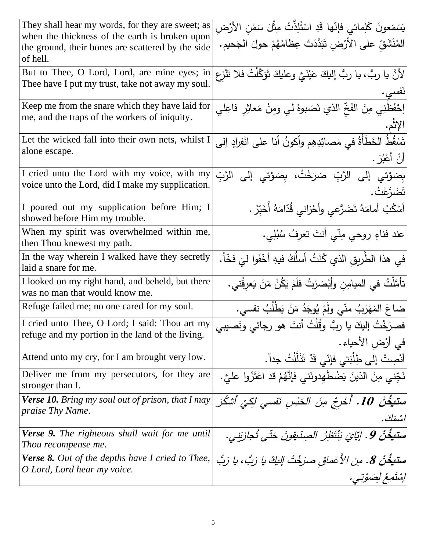| They shall hear my words, for they are sweet; as                                                                |                                                                                                                                      |
|-----------------------------------------------------------------------------------------------------------------|--------------------------------------------------------------------------------------------------------------------------------------|
| when the thickness of the earth is broken upon<br>the ground, their bones are scattered by the side<br>of hell. | يَسْمَعونَ كَلِماتي فإنّها قَدِ اسْتُلِذَّتْ مِثْلَ سَمْنِ الأَرْضِ<br>المُنْشَقِّ على الأَرْضِ تَبَدَّدَتْ عِظامُهُمْ حولَ الجَحيم. |
| But to Thee, O Lord, Lord, are mine eyes; in                                                                    | لأنَّ يا ربُّ، يا ربُّ إليكَ عَيْنَيَّ وعليكَ تَوَكَّلْتُ فلا تَنْزِعِ<br> -                                                         |
| Thee have I put my trust, take not away my soul.                                                                |                                                                                                                                      |
| Keep me from the snare which they have laid for                                                                 | إِحْفَظَنِي مِنَ الفَخِّ الذي نَصَبوهُ لي ومِنْ مَعاثِرِ فاعِلي<br>:                                                                 |
| me, and the traps of the workers of iniquity.                                                                   |                                                                                                                                      |
| Let the wicked fall into their own nets, whilst I                                                               |                                                                                                                                      |
| alone escape.                                                                                                   | أَنْ أَعْبُرَ .                                                                                                                      |
| I cried unto the Lord with my voice, with my                                                                    | بِصَوْتي إلى الرَّبِّ صَرَخْتُ، بِصَوْتي إلى الرَّبِّ<br>حَسَيَدُهُ                                                                  |
| voice unto the Lord, did I make my supplication.                                                                | تَضَرَّعْتُ.                                                                                                                         |
| I poured out my supplication before Him; I<br>showed before Him my trouble.                                     | أَسْكُبُ أَمامَهُ تَضَرُّعي وأَحْزاني قُدّامَهُ أُخَبِّرُ .                                                                          |
|                                                                                                                 |                                                                                                                                      |
| When my spirit was overwhelmed within me,<br>then Thou knewest my path.                                         | عند فناءِ روحي مِنّي أنتَ تعرِفُ سُبُلِي.                                                                                            |
| In the way wherein I walked have they secretly<br>laid a snare for me.                                          | في هذا الطَّريقِ الذي كُنْتُ أَسلَكُ فيهِ أَخْفَوا ليَ فخَّاً.                                                                       |
| I looked on my right hand, and beheld, but there<br>was no man that would know me.                              | ٰتَأَمَّلْتُ في الميامِنِ وأَبْصَرْتُ فلَمْ يَكُنْ مَنْ يَعرِفُني.                                                                   |
| Refuge failed me; no one cared for my soul.                                                                     | صناعَ المَهْرَبُ منّي ولَمْ يُوجَدُ مَنْ يَطْلُبُ نفسي.<br>                                                                          |
| I cried unto Thee, O Lord; I said: Thou art my                                                                  |                                                                                                                                      |
| refuge and my portion in the land of the living.                                                                | في أرْضِ الأحياء.                                                                                                                    |
| Attend unto my cry, for I am brought very low.                                                                  | أَنْصِتْ إلى طِلْبَتي فَإِنّي قَدْ تَذَلَّلْتُ جداً.                                                                                 |
| Deliver me from my persecutors, for they are<br>stronger than I.                                                | نَجِّني مِنَ الذينَ يَضْطَهِدونَني فإنَّهُمْ قد اعْتَزُّوا عليَّ.                                                                    |
| <b>Verse 10.</b> Bring my soul out of prison, that I may                                                        | س <b>تيغُنُ 10.</b> أُخْرِجُ مِنَ الْحَنْسِ نَفسى لِكِيُّ أَشْكُرَ                                                                   |
| <i>praise Thy Name.</i>                                                                                         | اسْمَكَ                                                                                                                              |
| <b>Verse 9.</b> The righteous shall wait for me until<br>Thou recompense me.                                    | ستيخُنْ 9. إِيَّايَ يَنْتَظِرُ الصِدِّيقِونَ حَتَّى تُجازِيَنِي.                                                                     |
| <b>Verse 8.</b> Out of the depths have I cried to Thee,                                                         | ستيغُنْ 8. مِن الأعْماق صرَخْتُ اللهِ ً يا رَبُّ، يا رَبُّ                                                                           |
| O Lord, Lord hear my voice.                                                                                     |                                                                                                                                      |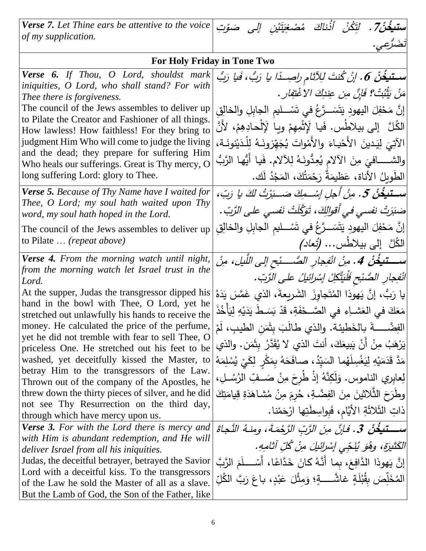**ستيخُنْ7 . لِتَكُنْ أَذُناكَ مُصْغِيَتَيْن إلى صَوْتِ** نْينِ إلى صَنْ يَمْ<br>يَلْيل ت َمُصْغِيَّةِ َ أذ ناك ْلِتِكُنُ تَضَرُّعِي. *Verse 7. Let Thine ears be attentive to the voice of my supplication.*

### **For Holy Friday in Tone Two**

|                                                                                                 | PUL HOIY PHUAY III TONE TWO                                                    |
|-------------------------------------------------------------------------------------------------|--------------------------------------------------------------------------------|
| Verse 6. If Thou, O Lord, shouldst mark                                                         | سـتيغُنْ 6. إنْ كُنتَ لِلآثام راصِـدًا يا رَبُّ، فَيا رَبُّ                    |
| iniquities, O Lord, who shall stand? For with<br>Thee there is forgiveness.                     | مَنْ يَثْبُتْ؟ فَإِنَّ مِن عِندِكَ الاغْتِفارِ .                               |
| The council of the Jews assembles to deliver up                                                 | إنَّ مَحْفِلَ اليهودِ يَتَسَــرَّعُ في تَسْـــليم الـجابِلِ والخالِقِ          |
| to Pilate the Creator and Fashioner of all things.                                              |                                                                                |
| How lawless! How faithless! For they bring to                                                   | الْكُلَّ   إِلَى بِيلاطُس. فَيا ۖ لَإِثْمِهِمْ وِيا ۖ لَإِلْحَادِهِمْ، لأَنَّ  |
| judgment Him Who will come to judge the living                                                  | الآتِيَ لِيَدينَ الأَحْياءَ والأَمْواتَ يُجَهّزونَـهُ لِلْدَيْنونَـة،          |
| and the dead; they prepare for suffering Him<br>Who heals our sufferings. Great is Thy mercy, O | والشــــــافيَ مِنَ الآلامِ يُعِدُّونَـهُ لِلآلامِ. فَيا أَيُّها الرَّبُّ      |
| long suffering Lord: glory to Thee.                                                             | الطَوِيلُ الأناة، عَظيمَةٌ رَحْمَتُكَ، المَجْدُ لَك.                           |
| <b>Verse 5.</b> Because of Thy Name have I waited for                                           | ســـتيخُنْ 5. مِنْ أجلِ إشـــمِكَ صَـــبَرْتُ لكَ يا رَبّ،                     |
| Thee, O Lord; my soul hath waited upon Thy<br>word, my soul hath hoped in the Lord.             | صَبَرَتْ نفسي في أَقوالِكَ، تَوَكَّلَتْ نَفسي على الرَّبّ.                     |
| The council of the Jews assembles to deliver up                                                 | إنَّ مَحْفِلَ اليهودِ يَتَسَــرَّعُ في تَسْـــليم الـجابِلِ والخالِقِ          |
| to Pilate  ( <i>repeat above</i> )                                                              | الكُلَّ إِلَى بِيلاطُس (تُعاد)                                                 |
| <b>Verse 4.</b> From the morning watch until night,                                             | ســـــتيغُنْ 4 . مِنْ انْفِجارِ الصُــــــنْحِ إلى اللّيل، مِنْ                |
| from the morning watch let Israel trust in the<br>Lord.                                         | انْفِجارِ الصُنْحِ فَلْيَتَّكِلْ إِسْرائِيلُ على الرَّبّ.                      |
| At the supper, Judas the transgressor dipped his                                                | يا رَبُّ، إنَّ يَهوذا المُتَجاوِزَ الشَريعةَ، الذي غَمَّسَ يَدَهُ              |
| hand in the bowl with Thee, O Lord, yet he<br>stretched out unlawfully his hands to receive the | مَعَكَ في العَشــاء في الصَّــحْفَةِ، قَدْ بَسَـطَ يَدَيْهِ لِيَأْخُذَ         |
| money. He calculated the price of the perfume,                                                  | الفِضَّـــــةَ بالخَطْيئة. والذي طالَبَ بثَمَنِ الطيبِ، لَمْ                   |
| yet he did not tremble with fear to sell Thee, O                                                | يَرْهَبْ مِنْ أَنْ يَبِيعَكَ، أَنتَ الذي لا يُقَدَّرُ بِثَمَنٍ. والذي          |
| priceless One. He stretched out his feet to be                                                  |                                                                                |
| washed, yet deceitfully kissed the Master, to<br>betray Him to the transgressors of the Law.    | مَدَّ قَدَمَيْهِ لِيَغْسِلَهُما السَيِّدُ، صافَحَهُ بِمَكْرِ لِكَيْ يُسْلِمَهُ |
| Thrown out of the company of the Apostles, he                                                   | [لعابري الناموس. وَلَكِنَّهُ إِذْ طَرِحَ مِنْ صَــفِّ الرُسُــلِ،              |
| threw down the thirty pieces of silver, and he did                                              | وطَرَحَ الثَّلاثينَ مِنَ الفِضَّـةِ، حُرِمَ مِنْ مُشَـاهَدَةِ قِيامَتِكَ       |
| not see Thy Resurrection on the third day,                                                      | ذاتِ الثَلاثَةِ الأيَّامِ، فَبِواسِطَتِها ارْحَمْنا.                           |
| through which have mercy upon us.                                                               |                                                                                |
| Verse 3. For with the Lord there is mercy and<br>with Him is abundant redemption, and He will   | ســـــتيخُنْ 3. فـانَّ منَ الرَّبِّ الرَّحْمَـةَ، ومنـهُ النَّجاةَ             |
| deliver Israel from all his iniquities.                                                         | الكَثْنِيَرَة، وهُوَ يُنَجِّي إِسْرائِيلَ مِنْ كُلِّ آثامِهِ.                  |
| Judas, the deceitful betrayer, betrayed the Savior                                              | إِنَّ يَهوذا الدَّافِعَ، بما أَنَّهُ كانَ خَدَّاعًا، أَسْــــلَمَ الرَّبَّ     |
| Lord with a deceitful kiss. To the transgressors                                                | المُخَلِّصَ بِقُبْلَةٍ غاشَّـــةٍ؛ وَمِثْلَ عَبْدٍ، باعَ رَبَّ الكُلِّ         |
| of the Law he sold the Master of all as a slave.                                                |                                                                                |
| But the Lamb of God, the Son of the Father, like                                                |                                                                                |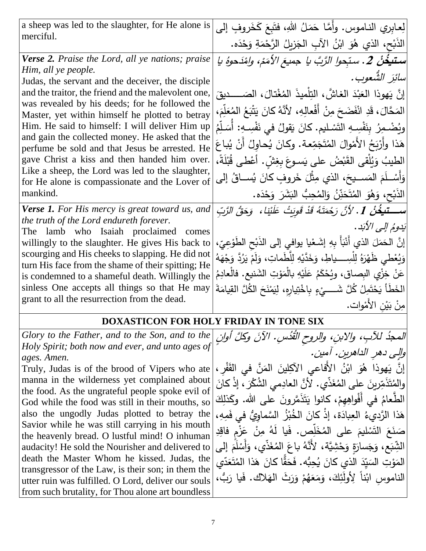| a sheep was led to the slaughter, for He alone is<br>merciful.                                           | لِعابري النـاموس. وأمَّا حَمَلُ اللهِ، فتَبعَ كَخَروفٍ إلى                         |
|----------------------------------------------------------------------------------------------------------|------------------------------------------------------------------------------------|
|                                                                                                          | الذِّبْحِ، الذي هُوَ ابْنُ الآبِ الجَزِيلُ الرَّحْمَةِ وَحْدَه.                    |
| Verse 2. Praise the Lord, all ye nations; praise<br>Him, all ye people.                                  | ستيغُنْ 2. سبّحوا الرَّبَّ يا جميعَ الأمَمْ، وامْدَحوهُ يا                         |
| Judas, the servant and the deceiver, the disciple                                                        | سائرَ الشَّعوب.                                                                    |
| and the traitor, the friend and the malevolent one,                                                      | إِنَّ يَهوذا العَبْدَ الغاشَّ، التِلْميذَ المُغْتالَ، الصَــــديقَ                 |
| was revealed by his deeds; for he followed the                                                           | المَحَّالَ، قَدِ انْفَضَحَ مِنْ أَفْعالِهِ، لأَنَّهُ كانَ يَتْبَعُ المُعَلِّمَ،    |
| Master, yet within himself he plotted to betray                                                          |                                                                                    |
| Him. He said to himself: I will deliver Him up<br>and gain the collected money. He asked that the        | ويُضْـمِرُ بِنَفْسِـهِ التَسْـليمِ. كانَ يَقولُ في نَفْسِـهِ: أَسَـلِّمُ           |
| perfume be sold and that Jesus be arrested. He                                                           | هَذا وأَرْبَحُ الأَمْوالَ المُتَجَمِّعة. وكانَ يُحاوِلُ أنْ يُباعَ                 |
| gave Christ a kiss and then handed him over.                                                             | الطيبُ وَيُلْقى القَبْضُ على يَسوعَ بِغِشِّ. أَعْطَى قُبْلَةً،                     |
| Like a sheep, the Lord was led to the slaughter,<br>for He alone is compassionate and the Lover of       | وَأَسْـلَمَ المَســيحَ، الذي مِثْلَ خَروفٍ كانَ يُســاقُ إلى                       |
| mankind.                                                                                                 | الذَبْحِ، وَهُوَ الْمُتَحَنِّنُ وَالْمُحِبُّ الْبَشَرَ وَحْدَه.                    |
| <b>Verse 1.</b> For His mercy is great toward us, and                                                    | سَــــتَيخُنْ 1. لأَنَّ رَجْمَتَهُ قَدْ قَوِيَتْ عَلَيْنا، ۖ وَجَقُّ الرَّبِّ      |
| the truth of the Lord endureth forever.<br>The lamb who Isaiah proclaimed<br>comes                       | يَدُومُ إِلَى الأَبَد .                                                            |
| willingly to the slaughter. He gives His back to                                                         | [إنَّ الحَمَلَ الذي أَنْبَأَ بِهِ إشَعْيا يوافي إلى الذَّبْحِ الطَّوْعِيِّ،        |
| scourging and His cheeks to slapping. He did not                                                         | وَيُعْطَى ظَهْرَهُ لِلْسِــــياطِ، وَخَدَّيْهِ لِلْطَماتِ، وَلَمْ يَرُدَّ وَجْهَهُ |
| turn His face from the shame of their spitting; He                                                       | عَنْ خِزْيِ البِصاقِ، ويُحْكَمُ عَلَيْهِ بِالْمَوْتِ الشَنيعِ. فالْعادِمُ          |
| is condemned to a shameful death. Willingly the<br>sinless One accepts all things so that He may         |                                                                                    |
| grant to all the resurrection from the dead.                                                             | الخَطَأَ يَحْتَمِلُ كُلَّ شَــــيْءٍ بِاخْتِيارِهِ، لِيَمْنَحَ الكُلَّ القِيامَةَ  |
|                                                                                                          | مِنْ بَيْنِ الأَمْواتِ.                                                            |
|                                                                                                          | <b>DOXASTICON FOR HOLY FRIDAY IN TONE SIX</b>                                      |
| Glory to the Father, and to the Son, and to the<br>Holy Spirit; both now and ever, and unto ages of      | المدجدُ للآبِ، والابنِ، والروح القُدُسِ. الآنَ وكلَّ أوان                          |
| ages. Amen.                                                                                              | والى دهر الداهرين. أمين.                                                           |
| Truly, Judas is of the brood of Vipers who ate                                                           | إِنَّ يَهوذا هُوَ ابْنُ الأَفاعي الآكِلينَ المَنَّ في القَفْرِ ،                   |
| manna in the wilderness yet complained about                                                             | والمُتَذَمِّرِينَ على المُغَذِّي. لأنَّ العادِمي الشُكْرَ ، إذْ كانَ               |
| the food. As the ungrateful people spoke evil of<br>God while the food was still in their mouths, so     | الطَّعامُ في أَفْواهِهِمْ، كانوا يَتَذَمَّرونَ على الله. وكَذلِكَ                  |
| also the ungodly Judas plotted to betray the                                                             | هَذا الرَّديءُ العِبادَة، إذْ كانَ الخُبْزُ السَّماويُّ في فَمِهِ،                 |
| Savior while he was still carrying in his mouth                                                          | صَنَعَ النَّسْليمَ على الْمُخَلِّصِ. فَيا لَهُ مِنْ عَزْمِ فاقِدِ                  |
| the heavenly bread. O lustful mind! O inhuman<br>audacity! He sold the Nourisher and delivered to        | الشِّبَعِ، وَجَسارَةِ وَحْشِيَّةٍ، لأَنَّهُ باعَ الْمُغَذِّي، وَأَسْلَمَ إِلَى     |
| death the Master Whom he kissed. Judas, the                                                              |                                                                                    |
| transgressor of the Law, is their son; in them the                                                       | المَوْتِ السَيّدَ الذي كانَ يُحِبُّه. فَحَقًّا كانَ هَذا المُتَعَدّي               |
| utter ruin was fulfilled. O Lord, deliver our souls<br>from such brutality, for Thou alone art boundless | الناموس ابْناً لِأُولَئِكَ، وَمَعَهُمْ وَرَثَ الْهَلاكِ. فَيا رَبُّ،               |
|                                                                                                          |                                                                                    |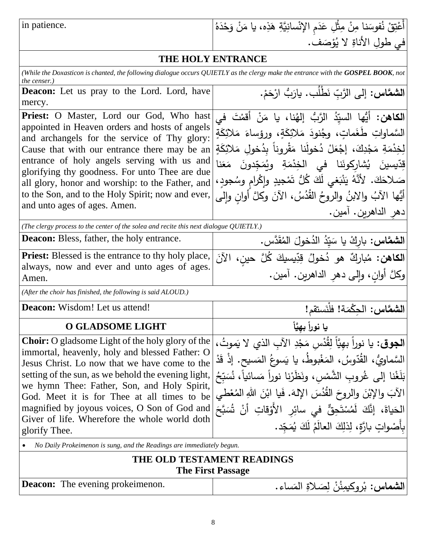in patience.

| أَعْتِقْ نُفوسَنا مِنْ مِثْلِ عَدَمِ الإِنْسانِيَّةِ هَذِه، يا مَنْ وَحْدَهُ |
|------------------------------------------------------------------------------|
| في طولِ الأناةِ لا يُؤصَف.                                                   |
|                                                                              |

## **THE HOLY ENTRANCE**

*(While the Doxasticon is chanted, the following dialogue occurs QUIETLY as the clergy make the entrance with the GOSPEL BOOK, not the censer.)*

| <b>Deacon:</b> Let us pray to the Lord. Lord, have<br>mercy.                                                                                                                                                                                                                                                                                                                                                                         | ال <b>شمَّاس:</b> إلى الرَّبّ نَطْلُبٍ. يارَبُّ ارْحَمْ.                                                                                                                                                                                                                                                                                                                                                                                       |
|--------------------------------------------------------------------------------------------------------------------------------------------------------------------------------------------------------------------------------------------------------------------------------------------------------------------------------------------------------------------------------------------------------------------------------------|------------------------------------------------------------------------------------------------------------------------------------------------------------------------------------------------------------------------------------------------------------------------------------------------------------------------------------------------------------------------------------------------------------------------------------------------|
| Priest: O Master, Lord our God, Who hast<br>appointed in Heaven orders and hosts of angels<br>and archangels for the service of Thy glory:<br>Cause that with our entrance there may be an<br>entrance of holy angels serving with us and<br>glorifying thy goodness. For unto Thee are due<br>all glory, honor and worship: to the Father, and<br>to the Son, and to the Holy Spirit; now and ever,<br>and unto ages of ages. Amen. | <b>الكاهن:</b> أيُّها السيّدُ الرَّبُّ إلهُنا، يا مَنْ أقمْتَ ف <i>ي</i><br>السَّماواتِ طَغَماتٍ، وجُنودَ مَلائِكَةٍ، ورؤساءَ مَلائِكَةٍ<br>لِخِدْمَةِ مَجْدِكَ، إِجْعَلْ دُخولَنا مَقْروناً بِدُخولِ مَلائِكَةٍ<br>قِدّيسينَ يُشارِكونَنا في الخِدْمَةِ ويُمَجِّدونَ مَعَنا<br>صَلاحَكَ. لأَنَّهُ يَنْبَغي لَكَ كُلُّ تَمْجِيدٍ وإِكْرامٍ وسُجودٍ،<br>أَيُّها الآبُ والابنُ والروحُ القُدُسُ، الآنَ وكلَّ أَوانِ وإلَى<br>دهر الداهرين. آمين. |
| (The clergy process to the center of the solea and recite this next dialogue QUIETLY.)                                                                                                                                                                                                                                                                                                                                               |                                                                                                                                                                                                                                                                                                                                                                                                                                                |
| <b>Deacon:</b> Bless, father, the holy entrance.                                                                                                                                                                                                                                                                                                                                                                                     | الشعَّاس: باركْ يا سَيّدُ الدُخولَ المُقَدَّس.                                                                                                                                                                                                                                                                                                                                                                                                 |
| <b>Priest:</b> Blessed is the entrance to thy holy place,<br>always, now and ever and unto ages of ages.<br>Amen.                                                                                                                                                                                                                                                                                                                    | ا <b>لكاهن:</b> مُباركٌ هو دُخولُ قِدِّيسيكَ كُلَّ حينِ، الآنَ<br>وكلَّ أوانِ، وإلى دهرِ الداهرينِ. آمين.                                                                                                                                                                                                                                                                                                                                      |
| (After the choir has finished, the following is said ALOUD.)                                                                                                                                                                                                                                                                                                                                                                         |                                                                                                                                                                                                                                                                                                                                                                                                                                                |
| <b>Deacon:</b> Wisdom! Let us attend!                                                                                                                                                                                                                                                                                                                                                                                                | الشمَّاس: الحكْمَة! فلْنَستقم!                                                                                                                                                                                                                                                                                                                                                                                                                 |
| <b>O GLADSOME LIGHT</b>                                                                                                                                                                                                                                                                                                                                                                                                              | يا نوراً بهيَّاً                                                                                                                                                                                                                                                                                                                                                                                                                               |
| <b>Choir:</b> O gladsome Light of the holy glory of the<br>immortal, heavenly, holy and blessed Father: O<br>Jesus Christ. Lo now that we have come to the<br>setting of the sun, as we behold the evening light,<br>we hymn Thee: Father, Son, and Holy Spirit,<br>God. Meet it is for Thee at all times to be<br>magnified by joyous voices, O Son of God and<br>Giver of life. Wherefore the whole world doth<br>glorify Thee.    | ا <b>لجوق:</b> يا نوراً بهِيَّأَ لِقُدْسِ مَجْدِ الآبِ الذي لا يَموتُ،<br> السَّماويُّ ، القُدّوسُ ، المَغْبوطُ، يا يَسوعُ المَسيحِ. إذْ قَدْ<br>ْبَلَغْنا إِلَى غُروبِ الشَّمْسِ، ونَظَرْنا نوراً مَسائياً، نُسَبّحُ<br>[الآبَ والإِبْنَ والروحَ القُدُسَ الإِلهَ. فَيا ابْنَ اللهِ المُعْطى<br>الْحَياةَ، إِنَّكَ لَمُسْتَحِقٌّ في سائِرِ الأَوْقاتِ أَنْ شُبَبَّحَ<br>ٰ بِأَصْواتٍ بارَّةٍ، لِذلِكَ العالَمُ لَكَ يُمَجِّد.                 |
| • No Daily Prokeimenon is sung, and the Readings are immediately begun.                                                                                                                                                                                                                                                                                                                                                              |                                                                                                                                                                                                                                                                                                                                                                                                                                                |

| THE OLD TESTAMENT READINGS<br><b>The First Passage</b> |                                                |
|--------------------------------------------------------|------------------------------------------------|
| <b>Deacon:</b> The evening prokeimenon.                | ال <b>شماس:</b> بْروكيمِنُنْ لِصَلاةِ المَساء. |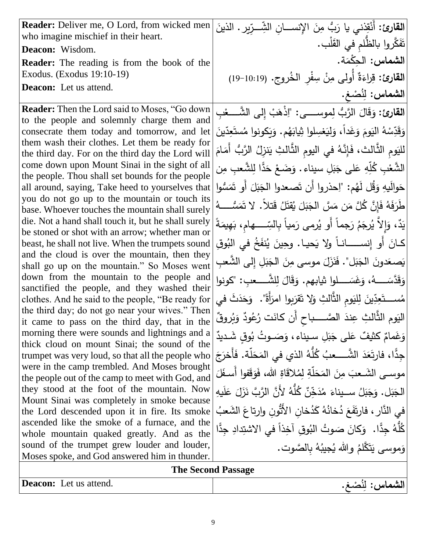**Reader:** Deliver me, O Lord, from wicked men who imagine mischief in their heart.

**Deacon:** Wisdom.

**Reader:** The reading is from the book of the Exodus. (Exodus 19:10-19)

**Deacon:** Let us attend.

**Reader:** Then the Lord said to Moses, "Go down to the people and solemnly charge them and consecrate them today and tomorrow, and let them wash their clothes. Let them be ready for the third day. For on the third day the Lord will come down upon Mount Sinai in the sight of all the people. Thou shall set bounds for the people all around, saying, Take heed to yourselves that you do not go up to the mountain or touch its base. Whoever touches the mountain shall surely die. Not a hand shall touch it, but he shall surely be stoned or shot with an arrow; whether man or beast, he shall not live. When the trumpets sound and the cloud is over the mountain, then they shall go up on the mountain." So Moses went down from the mountain to the people and sanctified the people, and they washed their clothes. And he said to the people, "Be ready for the third day; do not go near your wives." Then it came to pass on the third day, that in the morning there were sounds and lightnings and a thick cloud on mount Sinai; the sound of the trumpet was very loud, so that all the people who were in the camp trembled. And Moses brought the people out of the camp to meet with God, and they stood at the foot of the mountain. Now Mount Sinai was completely in smoke because ascended like the smoke of a furnace, and the whole mountain quaked greatly. And as the sound of the trumpet grew louder and louder, Moses spoke, and God answered him in thunder.

**القارئ:** أَنْقِذني يا رَبُّ مِنَ الإِنســـانِ الشِّـــرِّير . الذينَ <u>َ</u>ـٰ .<br>-.<br>م <u>َ</u> تَفَكَّروا بالظُّلمِ في القَلْب. ا**لشماس:** الحِكْمَة. ا<br>ا **القارئ:** قِراءَةٌ أُولى مِنْ سِفْرِ الخُروج. (10:19-19) <u>:</u> <u>ٰ</u> ْص **الشماس:** ِغ ن ل . ِ ا**لقارئ:** وَقَالَ الزَّبُّ لِموســــى: "لِذْهَبْ إِلـى الشَّــــعْبِ ْ **ٔ** .<br>ا وَقَدِّسْهُ اليَومَ وَغَداً، وَليَغْسِلُوا ثِيابَهُم. وَيَكونوا مُستَعِدِّينَ  $\frac{1}{2}$ َ .<br>أ  $\ddot{=}$ َ ْ مُ لليَومِ الثَّالث، فَإِنَّهُ في اليومِ الثَّالثِ يَنزِلُ الرَّبُّ أَمَامَ ا<br>ا .<br>ا <u>ہ</u> الشَّعْبِ كُلِّهِ عَلى جَبَلِ سيناء. وَضَعْ حَذًّا لِلشَّعبِ مِن لّ ْ َ .<br>.  $\ddot{\phantom{0}}$ حَوالَيهِ وَقُل لَهُم: "لِحذروا أَن تَصعدوا الْجَبَلَ أَو تَمَسُّوا ا<br>ا  $\overline{a}$ َ طَّرَفَهُ فَإِنَّ كُلَّ مَن مَسَّ الْجَبَلَ يُقتَلُ قَتلاً. لا تَمَسُّـــهُ ً<br>ً <u>ہ</u>  $\overline{\phantom{a}}$ ֺ֧<sup>֓</sup> ا<br>ا ا<br>ا بِّـــــــهامِ، بَهِيمَةً ا<br>ا .<br>ا ّ ِبَّالسَََََََََََََّّّّّّّّّّّّّ ً ميَّا رمى ر ً أَو ي َجمَّا ر م َ رج ي إِالَّ َ ، و ٌ د َ يَّ .<br>م كـانَ أَو إِنســـــانـاً ولا يَحيـا. وحِينَ يُنفَخُ في البُوقِ ـَـٰ يَصعَدونَ الجَبَل". فَنَزَلَ موسى مِنَ الْجَبَلِ إِلَى الشَّعبِ  $\ddot{\phantom{0}}$ ֺ֧<sup>֓</sup> .<br>ا  $\overline{a}$ َ وَقَدَّسَـــهُ، وَغَسَــــلوا ثيابهم. وَقَالَ لِلشَّــــعبِ: "كونوا  $\overline{\phantom{a}}$ َ َ ٔ نِّينَ لِليَومِ الثَّالثِ وَلا تَقرَبوا امرَأَةً". ۖ وَحَدَثَ في َ َ َ َ <u>بَ</u>ّ َ .<br>ا مُّســـتَعِدِّ<br>-اليَوم الثَّالثِ عِندَ الصَّــــباحِ أَن كانَت رُعُودٌ وَبُروقٌ َ .<br>-وَغَمامٌ كثيفٌ عَلى جَبَلِ سيناء، وَصَــوتُ بُوقٍ شَـديدٌ َ َ  $\ddot{\phantom{0}}$ َ َ جِدًّا ، فارتَعَدَ الشَّــــعبُ كُلُّهُ الذي في المَحَلَّة. فَأَخرَجَ <u>ہ</u> َ ا<br>ا  $\overline{\phantom{a}}$ موسـى الشَّـعبَ مِنَ المَحَلَّةِ لِمُلاَقَاةِ الله، فَوَقَفوا أَسـفَلَ َ <u>ة</u> َ ا<br>ا .<br>-**∶ ء**<br>• الْجَبَل. وَجَبَلُ ســيناءَ مُدَخِّنٌ كُلُّهُ لِأَنَّ الرَّبَّ نَزَلَ عَلَيهِ َ في النَّار ، فارتَفَعَ دُخانُهُ كَدُخانِ الأَتُونِ وارتاعَ الشَعبُ |the Lord descended upon it in fire. Its smoke<br>موجد المصدر seconded like the smoke of a furnees, and the َ  $\zeta$ كُلُّهُ جِدًّا. ۖ وَكانَ صَوتُ البُوقِ آخِذاً في الاشتِدادِ جِدًّا َ وَموسى يَتَكَّلمُ والله يُجيبُهُ بِالصَّوت.

**The Second Passage**

**Deacon:** Let us attend.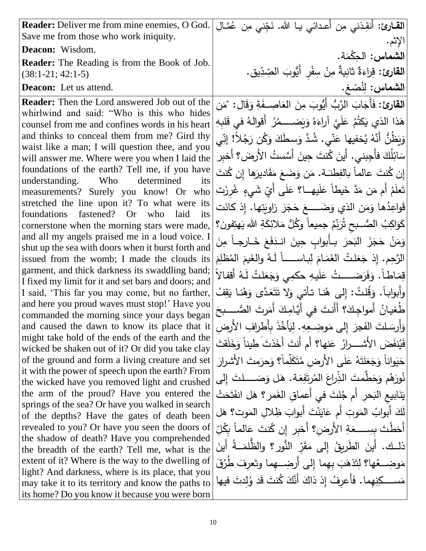| <b>Reader:</b> Deliver me from mine enemies, O God.                                                    | ا <b>لقـارئ:</b> أَنقِـذني مِن أَعـدائي يـا الله. نَجِّني مِن عُمَّـالِ  |
|--------------------------------------------------------------------------------------------------------|--------------------------------------------------------------------------|
| Save me from those who work iniquity.                                                                  | الإثم.                                                                   |
| Deacon: Wisdom.                                                                                        | الشماس: الحكْمَة.                                                        |
| <b>Reader:</b> The Reading is from the Book of Job.<br>$(38:1-21; 42:1-5)$                             | ا <b>لقارئ:</b> قِراءَةٌ ثانِيةٌ مِنْ سِفْرٍ أَيُّوبَ الصِّدِّيقِ.       |
| Deacon: Let us attend.                                                                                 | الشماس: لِنُصْغ.                                                         |
| <b>Reader:</b> Then the Lord answered Job out of the                                                   | القارئ: فَأَجَابَ الرَّبُّ أَيُّوبَ مِنَ العَاصِــفَةِ وَقَال: "مَن      |
| whirlwind and said: "Who is this who hides<br>counsel from me and confines words in his heart          | هَذا الذي يَكتُمُ عَلَيَّ آراءَهُ وَيَضـــــمُرُ أَقوالَهُ في قَلبِهِ    |
| and thinks to conceal them from me? Gird thy                                                           | وَيَظُنُّ أَنَّهُ يُخفيها عَنّى. شُدَّ وَسطَكَ وَكُن رَجُلاً! إِنِّي     |
| waist like a man; I will question thee, and you<br>will answer me. Where were you when I laid the      | سَائِلُكَ فأَجِبنى. أَينَ كُنتَ حِينَ أَسَّستُ الأَرضَ؟ أَخبِر           |
| foundations of the earth? Tell me, if you have                                                         | إِن كُنتَ عالماً بالفِطنَـة. مَن وَضَعَ مَقَاديرَها إِن كُنتَ            |
| understanding. Who<br>determined<br>its<br>measurements? Surely you know! Or who                       | تَعلَمُ أَم مَن مَدَّ خَيطاً عَلَيهـــا؟ عَلَى أَيِّ شَيءٍ غُرِزَت       |
| stretched the line upon it? To what were its                                                           | قَواعِدُها وَمَنِ الذي وَضَـــــعَ حَجَرَ زاويَتِها. إِذْ كانَت          |
| foundations<br>fastened? Or who<br>laid<br>its<br>cornerstone when the morning stars were made,        | كَوَاكِبُ الصُّــبحِ تُرَنِّمُ جميعاً وكُلُّ مَلائِكَةِ الله يَهتِفون؟   |
| and all my angels praised me in a loud voice. I                                                        | وَمَنْ حَجَزَ الْبَحرَ بِـأَبوابِ حِينَ انـدَفَعَ خَـارِجِـأَ مِنَ       |
| shut up the sea with doors when it burst forth and<br>issued from the womb; I made the clouds its      | الرَّحِمِ. إذ جَعَلتُ الغَمَـامَ لِبـاســـــاً لَـهُ والغَيمَ المُظْلِمَ |
| garment, and thick darkness its swaddling band;                                                        | قِمَاطاً. وَفَرَضـــــدُّ عَلَيهِ حكمِي وَجَعَلتُ لَـهُ أَقفالاً         |
| I fixed my limit for it and set bars and doors; and<br>I said, 'This far you may come, but no farther, | وأَبواباً. وَقُلتُ: إِلى هُنا تأتي وَلا تَتَعَدَّى وَهُنا يَقِفُ         |
| and here you proud waves must stop!' Have you<br>commanded the morning since your days began           | طُغيانُ أَمواجِكَ؟ أَأَنتَ في أَيَّامِكَ أَمَرتَ الصُّــــبحَ            |
| and caused the dawn to know its place that it                                                          | وَأَرسَلتَ الفَجرَ إِلى مَوضِعِهِ. لِيَأْخُذَ بِأَطْرافِ الأرضِ          |
| might take hold of the ends of the earth and the<br>wicked be shaken out of it? Or did you take clay   | لَفَيُنفَضَ الأَشْــــرارُ عَنها؟ أَم أَنتَ أَخَذتَ طَيناً وَخَلَقتَ     |
| of the ground and form a living creature and set                                                       | حَيَواناً وَجَعَلتَهُ عَلَى الأرض مُتَكَلِّماً؟ وَحرَمتَ الأشرارَ        |
| it with the power of speech upon the earth? From<br>the wicked have you removed light and crushed      | نُورَهُم وَحَطَّمتَ الذِّراعَ المُرتَفِعَة. هَل وَصَـــــلتَ إِلَى       |
| the arm of the proud? Have you entered the                                                             | يَنَابِيعِ البَحرِ أَمِ جُلتَ في أَعماقِ الغَمرِ ؟ هَلِ انفَتَحَتْ       |
| springs of the sea? Or have you walked in search<br>of the depths? Have the gates of death been        | لَكَ أَبوابُ المَوتِ أَمِ عَايَنْتَ أَبوابَ ظِلالٍ المَوتِ؟ هَل          |
| revealed to you? Or have you seen the doors of<br>the shadow of death? Have you comprehended           | أَحَطْتَ بِسِــــعَةِ الأَرضِ؟ أَخبِر إِن كُنتَ عَالماً بِكُلِّ          |
| the breadth of the earth? Tell me, what is the                                                         | ذلــك. أينَ الطَّرِيقُ إلى مَقَرّ النُّورِ ؟ والظُّلمَــةُ أينَ          |
| extent of it? Where is the way to the dwelling of<br>light? And darkness, where is its place, that you | مَوضِـــعُها؟ لِتَذهَبَ بِهِما إِلى أرضِـــهِما وتَعرفَ طَرُقَ           |
| may take it to its territory and know the paths to                                                     | مَســــكِنِهما. فَأَعرفُ إذ ذاكَ أَنَّكَ كُنتَ قَد وُلِدتَ فيها          |
| its home? Do you know it because you were born                                                         |                                                                          |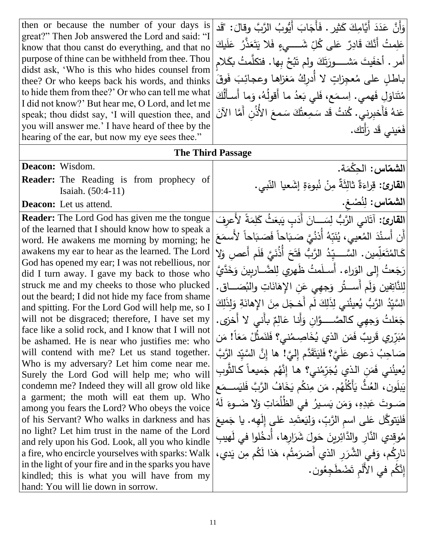then or because the number of your days is great?" Then Job answered the Lord and said: "I know that thou canst do everything, and that no purpose of thine can be withheld from thee. Thou didst ask, 'Who is this who hides counsel from thee? Or who keeps back his words, and thinks to hide them from thee?' Or who can tell me what I did not know?' But hear me, O Lord, and let me speak; thou didst say, 'I will question thee, and you will answer me.' I have heard of thee by the hearing of the ear, but now my eye sees thee."

وَأَنَّ عَدَدَ أَيَّامِكَ كَثير . فَأَجَابَ أَيُّوبُ الزَّبَّ وقالَ: "قَد<br>مَذَذَ أَيَّامِكَ كَثير .  $\overline{\phantom{a}}$ **∶** ֺ֧<sup>ֺ</sup> َ َ َ َ عَلِمتُ أَنَّكَ قَادِرٌ عَلى كُلِّ شَــــيءٍ فَلا يَتَعَذَّرُ عَلَيكَ<br>يَجْمَعُنَّ أَنَّكَ قَادِرٌ عَلى كُلِّ شَــــيءٍ فَلا يَتَعَذَّرُ عَلَيكَ <u>ء</u> **ء**<br>، .<br>ا <u>ء</u> أَمر . أخفَيتَ مَشـــــورَتَكَ ولم تَبُحْ بِها. فتكلَّمتُ بكَلامٍ **ٔ** <u>آ</u> .<br>م ا<br>ا باطْلٍ على مُعجِزاتٍ لا أُدرِكُ مَغزاها وعجائِبَ فَوقَ ا<br>ا  $\overline{\phantom{0}}$ .<br>. َ مُتَناوَلِ فَهمي. اِسمَع، فَلي بَعدُ ما أَقولُهُ، وَما أَسأَلُكَ<br>منظمة َ ٔ. َ ا<br>ا .<br>ا عَنهُ فَأَخبِرنِي. كُنتُ قَد سَمِعتُكَ سَمعَ الأَذُنِ أَمَّا الآنَ  $\zeta$ ً<br>ب ً<br>أ فَعَيني قَد رَأتك.

#### **The Third Passage**

**Deacon:** Wisdom.

**Reader:** The Reading is from prophecy of Isaiah. (50:4-11)

**Deacon:** Let us attend.

**Reader:** The Lord God has given me the tongue of the learned that I should know how to speak a word. He awakens me morning by morning; he awakens my ear to hear as the learned. The Lord God has opened my ear; I was not rebellious, nor did I turn away. I gave my back to those who struck me and my cheeks to those who plucked out the beard; I did not hide my face from shame and spitting. For the Lord God will help me, so I will not be disgraced; therefore, I have set my face like a solid rock, and I know that I will not be ashamed. He is near who justifies me: who will contend with me? Let us stand together. Who is my adversary? Let him come near me. Surely the Lord God will help me; who will condemn me? Indeed they will all grow old like a garment; the moth will eat them up. Who among you fears the Lord? Who obeys the voice of his Servant? Who walks in darkness and has no light? Let him trust in the name of the Lord and rely upon his God. Look, all you who kindle a fire, who encircle yourselves with sparks: Walk in the light of your fire and in the sparks you have kindled; this is what you will have from my hand: You will lie down in sorrow.

ا**لشمّاس:** الحِكْمَة.<br>م <u>ٔ</u> َ <mark>القارئ:</mark> قِراءَةٌ ثَالِثَةٌ مِنْ نُبوءَةِ إشَعيا النّبي.<br>ا َ .<br>-**اس:**  ْص **الشم** ِغ ن ل . ِ

ا**لقارئ:** آتَاني الرَّبُّ لِسَـــانَ أَدَبٍ يَبعَثُ كَلِمَةً لأَعرِفَ<br>يَسْتَعَلَّمَ ا<br>ا َ َ .<br>ا .<br>ا .<br>-ً<br>أ  $\zeta$ أَن أَسنُدَ المُعيي، يُنَبِّهُ أَذنُيَّ صَبَاحاً فَصَبَاحاً لأَسمَعَ<br>. ا<br>ا َ َ ٔ. ا<br>. َ لِّمين. السَّــــدِّدُ الرَّبُّ فَتَحَ أَذُنَيَّ فَلَم أَعص ِ وَلا َ َ  $\tilde{\phantom{0}}$ <u>ہ</u> لّ َ َع ت الم َ كََّّ رَجَعتُ إِلَي الوَراءِ. أَسـلَمتُ ظَهري لِلضَّـاربِينَ وَخَدَّيَّ<br>حَقَّـٰ اللَّهِ َ لِلنَّاتِفين وَلَم أُســـتُر وَجهِي عَنِ الإِهَانَاتِ والنُبصَـــاقِ.<br>. َ ا<br>ا َ ء<br>ِ ء<br>۔ َ ِك َذل و ةِ ا ِإلهان ل مِن َم أَخََّّج ل ِك َذل ِ ني ل عين ب ي الَّر ِد ّ ال َّسي لِ َ .<br>ا .<br>ا ֺ֧<sup>֓</sup> َ جَعَلتُ وَجهِي كالصَّـــوَّانِ وَأَنا عَالِمٌ بِأَني لا أُخزى. <u>م</u> َ َ ِ ري ق ّ َر ب م ن ً! م ا ع م ل َمث لن ني؟ ف م ِ اصََّّ خ ن الذي ي َم ٌب ف ري ً<br>ً َ ً<br>ً ֡֡<u>֡</u> َ َ ً<br>ً صَاحِبُ دَعوى عَلَيَّ؟ فَليَتَقَدَّم إِليَّ! ها إِنَّ السَّيِّد الرَّبَّ<br>. .<br>م <u>بَ</u>ّ َبا َ  $\overline{a}$ َ َّو ِب ً كَّالث ميعَّا م ج ني؟ هَّا ِإنَّه ِم ّ ر ج ِن الَّذي ي َ َم ني ف عين ي  $\ddot{\phantom{0}}$ َ ُّتُّ يَأْكُلُهُم. مَن مِنكُم يَخَافُ الزَّبَّ فَليَســمَعِ ا<br>. <u>ہ</u> َ ا<br>ا يَبِلُون، العُثُّ يَأْكُلُهُم. مَن مِنكُم يَخَافُ الرَّبَّ فَلَيَســمَعِ | صَــوتَ عَبدِهِ، وَمَن يَسـيرُ في الظُلُمَاتِ وَلا ضَــوءَ لَهُ َ َ ا<br>ا َ َ  $\zeta$ فَليَتوكَّل عَلى اسمِ الرَّبِّ، وَلِيَعتَمِد عَلى إِلَهِه. يا جَميعَ  $\ddot{\phantom{0}}$ َ <u>ء</u>  $\ddot{ }$ َ مُوقِدي النَّارِ ۖ والدَّائِرينَ حَولَ شَرَارِها، أَدخُلوا في لَهيبِ َ  $\overline{a}$ َ نَارِكُم، وَفي الشَّرَرِ الذي أَضرَمتُم، هَذا لَكُم مِن يَدي، |<br>يَأْتُمُ مَنْ يَسْتَمَرَّزُ .<br>ا ى<br>ئا .<br>م َ إِنَّكُم في الألَمِ تَضْطُجِعُون.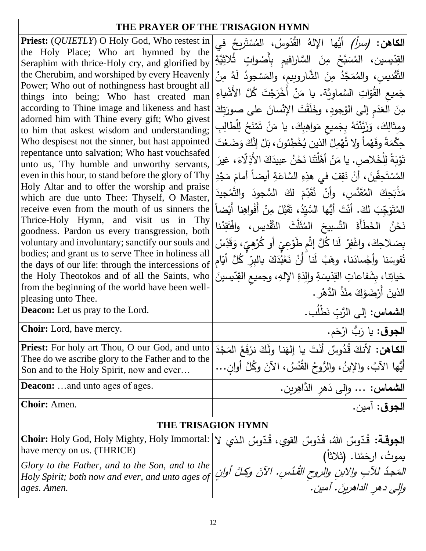### **THE PRAYER OF THE TRISAGION HYMN**

| <b>Priest:</b> ( <i>QUIETLY</i> ) O Holy God, Who restest in                                 | ا <b>لكاهن: <i>(سراً)</i> أيُّه</b> ا الإِلهُ القُدّوسُ، المُسْتَريحُ في                                             |
|----------------------------------------------------------------------------------------------|----------------------------------------------------------------------------------------------------------------------|
| the Holy Place; Who art hymned by the                                                        | القِدّيسين، المُسَبَّحُ مِنَ السَّارافيم بِأَصْواتٍ ثُلاثِيَّةِ                                                      |
| Seraphim with thrice-Holy cry, and glorified by                                              |                                                                                                                      |
| the Cherubim, and worshiped by every Heavenly                                                | النَّقْديسِ، والمُمَجَّدُ مِنَ الشَّاروبِيم، والمَسْجودُ لَهُ مِنْ                                                   |
| Power; Who out of nothingness hast brought all                                               | جَميع القُوّاتِ السَّماوِيَّة. يا مَنْ أَخْرَجْتَ كُلَّ الأَشْياءِ                                                   |
| things into being; Who hast created man                                                      |                                                                                                                      |
| according to Thine image and likeness and hast                                               | مِنَ العَدَمِ إلى الوُجودِ، وخَلَقْتَ الإِنْسانَ على صورَتِكَ                                                        |
| adorned him with Thine every gift; Who givest                                                | ومِثالِكَ، وَزَيَّنْتَهُ بِجَميعٍ مَواهِبِكَ، يا مَنْ تَمْنَحُ لِلْطَالِبِ                                           |
| to him that askest wisdom and understanding;                                                 |                                                                                                                      |
| Who despisest not the sinner, but hast appointed                                             | حِكْمَةً وفَهْماً ولا تُهْمِلُ الذين يُخْطِئونَ، بَلْ إِنَّكَ وَضَعْتَ                                               |
| repentance unto salvation; Who hast vouchsafed<br>unto us, Thy humble and unworthy servants, | تَوْبَةً لِلْخَلاصِ. يا مَنْ أَهَّلْتَنا نَحْنُ عبيدَكَ الأَذِلّاءَ، غيرَ                                            |
| even in this hour, to stand before the glory of Thy                                          | الْمُسْتَحِقِّينَ، أَنْ نَقِفَ في هذِهِ السَّاعَةِ أَيضاً أَمامَ مَجْدِ                                              |
| Holy Altar and to offer the worship and praise                                               | مَذْبَحِكَ المُقَدَّسِ، وأَنْ نُقَدِّمَ لَكَ السُّجودَ والتَّمْجِيدَ                                                 |
| which are due unto Thee: Thyself, O Master,                                                  |                                                                                                                      |
| receive even from the mouth of us sinners the                                                | المُتَوَجِّبَ لَكَ. أَنْتَ أَيُّها السَّيِّدُ، تَقَبَّلْ مِنْ أَفْواهِنا أَيْضاً                                     |
| Thrice-Holy Hymn, and visit us in Thy<br>goodness. Pardon us every transgression, both       | نَحْنُ    الخَطَأَةَ    التَّسبيحَ    المُثَلَّثَ    التَّقْديس ،    وافْتَقِدْنا                                    |
| voluntary and involuntary; sanctify our souls and                                            | بِصَلاحِكَ، واغْفِرْ لَنا كُلَّ إِثْمِ طَوْعِيِّ أَو كُرْهِيِّ، وَقَدِّسْ                                            |
| bodies; and grant us to serve Thee in holiness all                                           |                                                                                                                      |
| the days of our life: through the intercessions of                                           | نُفوسَنا وأجْسادَنا، وهَبْ لَنا أَنْ نَعْبُدَكَ بالبِرِّ كُلَّ أيّام                                                 |
| the Holy Theotokos and of all the Saints, who                                                | حَياتِنا، بِشَفاعاتِ القِدّيسَةِ وإِلِدَةِ الإِلهِ، وجميع القِدّيسينَ                                                |
| from the beginning of the world have been well-                                              |                                                                                                                      |
| pleasing unto Thee.                                                                          | الذينَ أَرْضَوْكَ منْذُ الدَّهْرِ .                                                                                  |
| <b>Deacon:</b> Let us pray to the Lord.                                                      | ا <b>لشماس:</b> إلى الرَّبِّ نَطْلُب.                                                                                |
| Choir: Lord, have mercy.                                                                     | ا <b>لجوق:</b> يا رَبُّ ارْحَم.                                                                                      |
|                                                                                              | المُكَاهِن: لأنكَ قُدُوسٌ أَنْتَ يا إِلْهَنا وَلَكَ نرْفَعُ الْمَجْدَ Priest: For holy art Thou, O our God, and unto |
| Thee do we ascribe glory to the Father and to the                                            |                                                                                                                      |
| Son and to the Holy Spirit, now and ever                                                     | إَيُّها الآبُ، والإِبنُ، والرُّوحُ القُدُسُ، الآنَ وكُلَّ أوانِ                                                      |
| <b>Deacon:</b> and unto ages of ages.                                                        | الشماس:  وإلى دَهرِ الدَّاهِرِينِ.                                                                                   |
| <b>Choir:</b> Amen.                                                                          | ا <b>لجوق</b> : أمين.                                                                                                |
| <b>THE TRISAGION HYMN</b>                                                                    |                                                                                                                      |
| <b>Choir:</b> Holy God, Holy Mighty, Holy Immortal:                                          | ا <b>لجوقــة:</b> قُدّوسٌ اللهُ، قُدّوسٌ القوي، قُدّوسٌ الـذي لا                                                     |
| have mercy on us. (THRICE)                                                                   |                                                                                                                      |
| Glory to the Father, and to the Son, and to the                                              |                                                                                                                      |
| Holy Spirit; both now and ever, and unto ages of                                             |                                                                                                                      |

12

*ages. Amen.*

. آمين. َ

وإلى دهِر الداهرين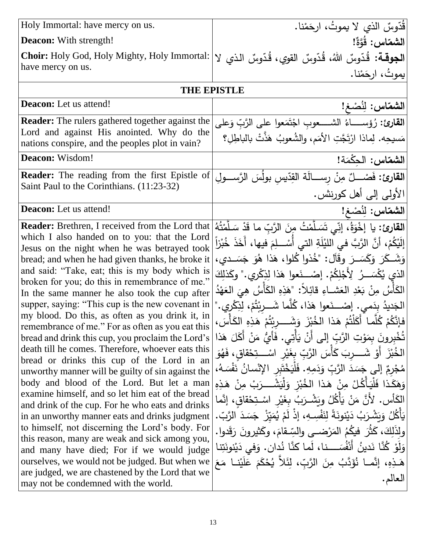| Deacon: With strength!<br> ا <b>لجوقـة:</b> قُدّوسٌ اللهُ، قُدّوسٌ القوي، قُدّوسٌ الذي لا<br><b>Choir:</b> Holy God, Holy Mighty, Holy Immortal:<br>have mercy on us.<br><b>THE EPISTLE</b><br><b>Deacon:</b> Let us attend!<br><b>Reader:</b> The rulers gathered together against the<br>القارئ: رُؤســـاءُ الشــــعوبِ اجْتَمَعوا على الرَّبِّ وَعلى<br>Lord and against His anointed. Why do the<br>nations conspire, and the peoples plot in vain?<br>Deacon: Wisdom!<br><b>Reader:</b> The reading from the first Epistle of<br>القارئ: فَصْـــلٌ مِنْ رِســـالَة القِدّيس بولُسَ الرَّســـولِ<br>Saint Paul to the Corinthians. (11:23-32)<br> الأولى إلى أهل كورنشں.<br><b>Deacon:</b> Let us attend!<br> ا <b>لقارئ:</b> يا إِخْوَةُ، إِنِّي تَسَلَّمْتُ مِنَ الرَّبِّ ما قَدْ سَلَّمْتُهُ<br><b>Reader:</b> Brethren, I received from the Lord that<br>which I also handed on to you: that the Lord<br>Jesus on the night when he was betrayed took<br>bread; and when he had given thanks, he broke it<br>and said: "Take, eat; this is my body which is<br>broken for you; do this in remembrance of me."<br>In the same manner he also took the cup after<br>supper, saying: "This cup is the new covenant in<br>my blood. Do this, as often as you drink it, in<br>remembrance of me." For as often as you eat this<br>bread and drink this cup, you proclaim the Lord's<br>death till he comes. Therefore, whoever eats this<br>bread or drinks this cup of the Lord in an |                   | قُدّوسٌ الذي لا يموتُ، ارحَمْنا.                                                                                                                                                                                                                                                                                                                                                                                                                                                                                                                                                                                                                                                                                                                                                                                                                                                                                                                                                                                                                                                                                                                                                                          | Holy Immortal: have mercy on us.                  |
|-------------------------------------------------------------------------------------------------------------------------------------------------------------------------------------------------------------------------------------------------------------------------------------------------------------------------------------------------------------------------------------------------------------------------------------------------------------------------------------------------------------------------------------------------------------------------------------------------------------------------------------------------------------------------------------------------------------------------------------------------------------------------------------------------------------------------------------------------------------------------------------------------------------------------------------------------------------------------------------------------------------------------------------------------------------------------------------------------------------------------------------------------------------------------------------------------------------------------------------------------------------------------------------------------------------------------------------------------------------------------------------------------------------------------------------------------------------------------------------------|-------------------|-----------------------------------------------------------------------------------------------------------------------------------------------------------------------------------------------------------------------------------------------------------------------------------------------------------------------------------------------------------------------------------------------------------------------------------------------------------------------------------------------------------------------------------------------------------------------------------------------------------------------------------------------------------------------------------------------------------------------------------------------------------------------------------------------------------------------------------------------------------------------------------------------------------------------------------------------------------------------------------------------------------------------------------------------------------------------------------------------------------------------------------------------------------------------------------------------------------|---------------------------------------------------|
|                                                                                                                                                                                                                                                                                                                                                                                                                                                                                                                                                                                                                                                                                                                                                                                                                                                                                                                                                                                                                                                                                                                                                                                                                                                                                                                                                                                                                                                                                           |                   |                                                                                                                                                                                                                                                                                                                                                                                                                                                                                                                                                                                                                                                                                                                                                                                                                                                                                                                                                                                                                                                                                                                                                                                                           |                                                   |
|                                                                                                                                                                                                                                                                                                                                                                                                                                                                                                                                                                                                                                                                                                                                                                                                                                                                                                                                                                                                                                                                                                                                                                                                                                                                                                                                                                                                                                                                                           | الشمّاس: قُوَّةٌ! |                                                                                                                                                                                                                                                                                                                                                                                                                                                                                                                                                                                                                                                                                                                                                                                                                                                                                                                                                                                                                                                                                                                                                                                                           |                                                   |
|                                                                                                                                                                                                                                                                                                                                                                                                                                                                                                                                                                                                                                                                                                                                                                                                                                                                                                                                                                                                                                                                                                                                                                                                                                                                                                                                                                                                                                                                                           |                   |                                                                                                                                                                                                                                                                                                                                                                                                                                                                                                                                                                                                                                                                                                                                                                                                                                                                                                                                                                                                                                                                                                                                                                                                           |                                                   |
|                                                                                                                                                                                                                                                                                                                                                                                                                                                                                                                                                                                                                                                                                                                                                                                                                                                                                                                                                                                                                                                                                                                                                                                                                                                                                                                                                                                                                                                                                           | يموثُ، ارجَمْنا.  |                                                                                                                                                                                                                                                                                                                                                                                                                                                                                                                                                                                                                                                                                                                                                                                                                                                                                                                                                                                                                                                                                                                                                                                                           |                                                   |
|                                                                                                                                                                                                                                                                                                                                                                                                                                                                                                                                                                                                                                                                                                                                                                                                                                                                                                                                                                                                                                                                                                                                                                                                                                                                                                                                                                                                                                                                                           |                   |                                                                                                                                                                                                                                                                                                                                                                                                                                                                                                                                                                                                                                                                                                                                                                                                                                                                                                                                                                                                                                                                                                                                                                                                           |                                                   |
|                                                                                                                                                                                                                                                                                                                                                                                                                                                                                                                                                                                                                                                                                                                                                                                                                                                                                                                                                                                                                                                                                                                                                                                                                                                                                                                                                                                                                                                                                           | الشماس: لِنُصْغ!  |                                                                                                                                                                                                                                                                                                                                                                                                                                                                                                                                                                                                                                                                                                                                                                                                                                                                                                                                                                                                                                                                                                                                                                                                           |                                                   |
|                                                                                                                                                                                                                                                                                                                                                                                                                                                                                                                                                                                                                                                                                                                                                                                                                                                                                                                                                                                                                                                                                                                                                                                                                                                                                                                                                                                                                                                                                           |                   |                                                                                                                                                                                                                                                                                                                                                                                                                                                                                                                                                                                                                                                                                                                                                                                                                                                                                                                                                                                                                                                                                                                                                                                                           |                                                   |
|                                                                                                                                                                                                                                                                                                                                                                                                                                                                                                                                                                                                                                                                                                                                                                                                                                                                                                                                                                                                                                                                                                                                                                                                                                                                                                                                                                                                                                                                                           |                   | مَسيحِه. لِماذا ارْتَجَّتِ الأُمَمِ، والشُعوبُ هَذَّتْ بالباطِلِ؟                                                                                                                                                                                                                                                                                                                                                                                                                                                                                                                                                                                                                                                                                                                                                                                                                                                                                                                                                                                                                                                                                                                                         |                                                   |
|                                                                                                                                                                                                                                                                                                                                                                                                                                                                                                                                                                                                                                                                                                                                                                                                                                                                                                                                                                                                                                                                                                                                                                                                                                                                                                                                                                                                                                                                                           | الشماس: الحكْمَة! |                                                                                                                                                                                                                                                                                                                                                                                                                                                                                                                                                                                                                                                                                                                                                                                                                                                                                                                                                                                                                                                                                                                                                                                                           |                                                   |
|                                                                                                                                                                                                                                                                                                                                                                                                                                                                                                                                                                                                                                                                                                                                                                                                                                                                                                                                                                                                                                                                                                                                                                                                                                                                                                                                                                                                                                                                                           |                   |                                                                                                                                                                                                                                                                                                                                                                                                                                                                                                                                                                                                                                                                                                                                                                                                                                                                                                                                                                                                                                                                                                                                                                                                           |                                                   |
|                                                                                                                                                                                                                                                                                                                                                                                                                                                                                                                                                                                                                                                                                                                                                                                                                                                                                                                                                                                                                                                                                                                                                                                                                                                                                                                                                                                                                                                                                           |                   |                                                                                                                                                                                                                                                                                                                                                                                                                                                                                                                                                                                                                                                                                                                                                                                                                                                                                                                                                                                                                                                                                                                                                                                                           |                                                   |
|                                                                                                                                                                                                                                                                                                                                                                                                                                                                                                                                                                                                                                                                                                                                                                                                                                                                                                                                                                                                                                                                                                                                                                                                                                                                                                                                                                                                                                                                                           | الشماس: لِنُصْغ!  |                                                                                                                                                                                                                                                                                                                                                                                                                                                                                                                                                                                                                                                                                                                                                                                                                                                                                                                                                                                                                                                                                                                                                                                                           |                                                   |
| body and blood of the Lord. But let a man<br>examine himself, and so let him eat of the bread<br>and drink of the cup. For he who eats and drinks<br>in an unworthy manner eats and drinks judgment<br>to himself, not discerning the Lord's body. For<br>this reason, many are weak and sick among you,<br>and many have died; For if we would judge<br>ourselves, we would not be judged. But when we                                                                                                                                                                                                                                                                                                                                                                                                                                                                                                                                                                                                                                                                                                                                                                                                                                                                                                                                                                                                                                                                                   |                   | إِلَيْكُمْ، أَنَّ الرَّبَّ في اللَّيْلَةِ الَّتِي أَسْـــلِمَ فيها، أَخَذَ خُبْزاً<br> وَشَــكَرَ وَكَسَــرَ وقَالَ: "خُذوا كُلوا، هَذا هُوَ جَسَــدي،<br> الذي يُكْسَـــرُ ۗ لِأَجْلِكُمْ. إِصْـــذَعوا هَذا لِذِكْرِي ." وكَذَلِكَ<br> الكَأْسُ مِنْ بَعْدِ الْعَشْـاءِ قَائِلاً: "هَذِهِ الْكَأْسُ هِيَ الْعَهْدُ<br> الجَديدُ بدَمي. إِصْـــذَعوا هَذا، كُلَّما شَـــرِنتُمْ، لِذِكْرِي."<br> فائِكُمْ كُلَّمـا أَكَلْتُمْ هَذا الخُبْزَ وَشَــــرِبْتُمْ هَذِهِ الكَأْسَ،<br>تُخْبِرِونَ بِمَوْتِ الرَّبِّ إِلَى أَنْ يَأْتِي. فَأَيُّ مَنْ أَكَلَ هَذَا<br>الْخُبْزَ أَوْ شَــــربَ كَأْسَ الرَّبّ بغَيْر اسْــــتِحْقاق، فَهُوَ<br>مُجْرِمٌ إِلَى جَسَدَ الرَّبِّ وَدَمِهِ. فَليَخْتَبِرِ الإِنْسانُ نَفْسَهُ،<br>وَهَكَـٰذا فَلْيَـأَكُـلْ مِنْ هَـٰذا الخُبْرْ وَلْيَشْــــرَبْ مِنْ هَـٰذِهِ<br> الكَأْس. لأنَّ مَنْ يَأْكُلُ ويَشْـرَبُ بِغَيْرِ اسْـتِحْقاقِ، إنَّما<br>يَأْكُلُ وَبَشْرَبُ دَيْنُونَةً لِنَفْسِهِ، إِذْ لَمْ يُمَيّزُ ۚ جَسَدَ الرَّبِّ.<br> ولذَلِكَ، كَثَرَ  فيكُمُ المَرْضــى والسِّـقامَ، وكَثيرونَ رَقَدوا.<br> وَلَوْ كُنَّا نَدينُ أَنْفُسَـــنا، لَما كنَّا نُدان. وَفي دَيْنونَتِنا<br>هَـٰذِهِ، إِنَّمـا نُؤَدَّبُ مِنَ الرَّبِّ، لِئَلاَّ يُحْكَمَ عَلَيْنـا مَعَ | unworthy manner will be guilty of sin against the |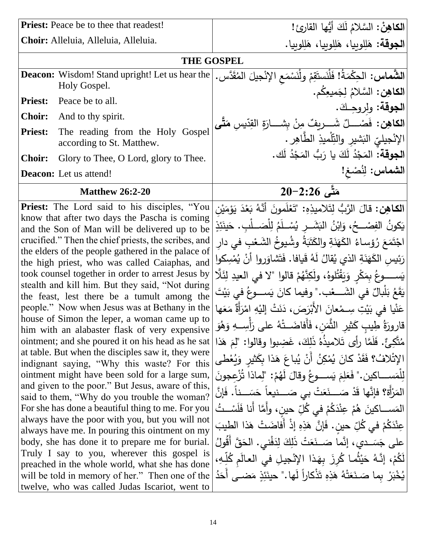**Priest:** Peace be to thee that readest!

**Choir:** Alleluia, Alleluia, Alleluia.

ا**لكاهِنْ: السَّلامُ لَكَ أَيُّها القارئ!**<br>س**ت** َ

| Choir: Alleluia, Alleluia, Alleluia.                                                                                                                                                                                                                                                                                                                                                                                                                                                                                                                                                                                                                                                                                                                                                                                                                                                                                                                                                                                                                                                                                                                                                                                                                                                                                                                               | ا <b>لجوقة:</b> هَلِلوبيا، هَلِلوبيا، هَلِلوبيا.                                                                                                                                                                                                                                                                                                                                                                                                                                                                                                                                                                                                                                                                                                                                                                                                                                                                                                                                                                                                                                                                                                                                                                                                                                                                 |  |  |  |
|--------------------------------------------------------------------------------------------------------------------------------------------------------------------------------------------------------------------------------------------------------------------------------------------------------------------------------------------------------------------------------------------------------------------------------------------------------------------------------------------------------------------------------------------------------------------------------------------------------------------------------------------------------------------------------------------------------------------------------------------------------------------------------------------------------------------------------------------------------------------------------------------------------------------------------------------------------------------------------------------------------------------------------------------------------------------------------------------------------------------------------------------------------------------------------------------------------------------------------------------------------------------------------------------------------------------------------------------------------------------|------------------------------------------------------------------------------------------------------------------------------------------------------------------------------------------------------------------------------------------------------------------------------------------------------------------------------------------------------------------------------------------------------------------------------------------------------------------------------------------------------------------------------------------------------------------------------------------------------------------------------------------------------------------------------------------------------------------------------------------------------------------------------------------------------------------------------------------------------------------------------------------------------------------------------------------------------------------------------------------------------------------------------------------------------------------------------------------------------------------------------------------------------------------------------------------------------------------------------------------------------------------------------------------------------------------|--|--|--|
| <b>THE GOSPEL</b>                                                                                                                                                                                                                                                                                                                                                                                                                                                                                                                                                                                                                                                                                                                                                                                                                                                                                                                                                                                                                                                                                                                                                                                                                                                                                                                                                  |                                                                                                                                                                                                                                                                                                                                                                                                                                                                                                                                                                                                                                                                                                                                                                                                                                                                                                                                                                                                                                                                                                                                                                                                                                                                                                                  |  |  |  |
| <b>Deacon:</b> Wisdom! Stand upright! Let us hear the<br>Holy Gospel.                                                                                                                                                                                                                                                                                                                                                                                                                                                                                                                                                                                                                                                                                                                                                                                                                                                                                                                                                                                                                                                                                                                                                                                                                                                                                              | [الشَّماس: الحِكْمَةُ! فَلْنَستَقِمْ ولْنَسْمَعِ الإِنْجِيلَ الْمُقَدَّس.<br> الكاهِن: السَّلامُ لِجَميعِكُم.                                                                                                                                                                                                                                                                                                                                                                                                                                                                                                                                                                                                                                                                                                                                                                                                                                                                                                                                                                                                                                                                                                                                                                                                    |  |  |  |
| <b>Priest:</b><br>Peace be to all.                                                                                                                                                                                                                                                                                                                                                                                                                                                                                                                                                                                                                                                                                                                                                                                                                                                                                                                                                                                                                                                                                                                                                                                                                                                                                                                                 |                                                                                                                                                                                                                                                                                                                                                                                                                                                                                                                                                                                                                                                                                                                                                                                                                                                                                                                                                                                                                                                                                                                                                                                                                                                                                                                  |  |  |  |
| <b>Choir:</b><br>And to thy spirit.                                                                                                                                                                                                                                                                                                                                                                                                                                                                                                                                                                                                                                                                                                                                                                                                                                                                                                                                                                                                                                                                                                                                                                                                                                                                                                                                | الجوقة: ولروجِكَ.                                                                                                                                                                                                                                                                                                                                                                                                                                                                                                                                                                                                                                                                                                                                                                                                                                                                                                                                                                                                                                                                                                                                                                                                                                                                                                |  |  |  |
| <b>Priest:</b><br>The reading from the Holy Gospel<br>according to St. Matthew.                                                                                                                                                                                                                                                                                                                                                                                                                                                                                                                                                                                                                                                                                                                                                                                                                                                                                                                                                                                                                                                                                                                                                                                                                                                                                    | ا <b>لكاهِن:</b> فَصْــــلٌ شَــــريفٌ مِنْ بِشــــارَةِ القِدّيسِ <b>مَتَّى</b><br>الإِنْجِيلِيِّ الْبَشْيرِ والتِّلْمِيذِ الطَّاهِرِ .                                                                                                                                                                                                                                                                                                                                                                                                                                                                                                                                                                                                                                                                                                                                                                                                                                                                                                                                                                                                                                                                                                                                                                         |  |  |  |
| <b>Choir:</b><br>Glory to Thee, O Lord, glory to Thee.                                                                                                                                                                                                                                                                                                                                                                                                                                                                                                                                                                                                                                                                                                                                                                                                                                                                                                                                                                                                                                                                                                                                                                                                                                                                                                             | ا <b>لجوقة:</b> المَجْدُ لَكَ يا رَبُّ المَجْدُ لَك.                                                                                                                                                                                                                                                                                                                                                                                                                                                                                                                                                                                                                                                                                                                                                                                                                                                                                                                                                                                                                                                                                                                                                                                                                                                             |  |  |  |
| <b>Deacon:</b> Let us attend!                                                                                                                                                                                                                                                                                                                                                                                                                                                                                                                                                                                                                                                                                                                                                                                                                                                                                                                                                                                                                                                                                                                                                                                                                                                                                                                                      | الشماس: لِنُصْغ!                                                                                                                                                                                                                                                                                                                                                                                                                                                                                                                                                                                                                                                                                                                                                                                                                                                                                                                                                                                                                                                                                                                                                                                                                                                                                                 |  |  |  |
| <b>Matthew 26:2-20</b>                                                                                                                                                                                                                                                                                                                                                                                                                                                                                                                                                                                                                                                                                                                                                                                                                                                                                                                                                                                                                                                                                                                                                                                                                                                                                                                                             | مَتَّى 26:2−20                                                                                                                                                                                                                                                                                                                                                                                                                                                                                                                                                                                                                                                                                                                                                                                                                                                                                                                                                                                                                                                                                                                                                                                                                                                                                                   |  |  |  |
| <b>Priest:</b> The Lord said to his disciples, "You<br>know that after two days the Pascha is coming<br>and the Son of Man will be delivered up to be<br>crucified." Then the chief priests, the scribes, and<br>the elders of the people gathered in the palace of<br>the high priest, who was called Caiaphas, and<br>took counsel together in order to arrest Jesus by<br>stealth and kill him. But they said, "Not during<br>the feast, lest there be a tumult among the<br>people." Now when Jesus was at Bethany in the<br>house of Simon the leper, a woman came up to<br>him with an alabaster flask of very expensive<br>ointment; and she poured it on his head as he sat<br>at table. But when the disciples saw it, they were<br>indignant saying, "Why this waste? For this<br>ointment might have been sold for a large sum,<br>and given to the poor." But Jesus, aware of this,<br>said to them, "Why do you trouble the woman?<br>For she has done a beautiful thing to me. For you<br>always have the poor with you, but you will not<br>always have me. In pouring this ointment on my<br>body, she has done it to prepare me for burial.<br>Truly I say to you, wherever this gospel is<br>preached in the whole world, what she has done<br>will be told in memory of her." Then one of the<br>twelve, who was called Judas Iscariot, went to | ا <b>لكاهِن:</b> قالَ الرَّبُّ لِتَلامِيذِهِ: "تَعْلَمونَ أَنَّهُ بَعْدَ يَوْمَيْن<br>يَكُونُ الفِصْــحُ، وَابْنُ النَشَــرِ يُسْــلَمُ لِلْصَــلْبِ. حَينَئِذٍ<br>اجْتَمَعَ رُؤساءُ الكَهَذَةِ والكَتَبَةُ وشُيوخُ الشَعْبِ في دارِ<br>رَئِيسِ الكَهَنَةِ الذي يُقالُ لَهُ قَيافًا. فَتَشاوَروا أَنْ يُمْسِكُوا<br>يَســــــوعُ بِمَكْرٍ ۖ وَيَقْتُلوهُ، ولَكِنَّهُمْ قالوا "لا في العيدِ لئِلَّا ۖ<br>يَقَعُ بَلْبِالٌ في الشَّـــعْبِ." وفيما كانَ يَســـوعُ في بَيْتَ<br>عَنْيا في بَيْتِ سِـمْعانَ الأَبْرَصَ، دَنَتْ إِلَيْهِ امْرَأَةٌ مَعَها<br>قارورَةُ طِيبِ كَثيرِ الثَّمَنِ، فَأَفاضَــدَّهُ على رَأْسِــهِ وَهُوَ<br>مُتَّكِئٌ. فَلَمَّا رأَى تَلاميذُهُ ذَلِكَ، غَضِبوا وقالوا: "لِمَ هَذا<br> الإِتْلافُ؟ فَقَدْ كانَ يُمْكِنُ أَنْ يُباعَ هَذا بِكَثيرٍ وَيُعْطَى<br>لِلْمَســــاكين." فَعَلِمَ يَســــوعُ وقالَ لَهُمْ: "لِماذا تُزْعِجونَ<br>المَرْأَة؟ فإنَّها قَدْ صَــــذَعَتْ بـى صَـــــنيعاً حَسَـــناً. فَإِنَّ<br>المَســــاكينَ هُمْ عِنْدَكُمْ فـى كُلِّ حينٍ، وأمَّا أنا فَلَسْـــتُ<br>عِنْدَكُمْ في كُلِّ حينٍ. فَإِنَّ هَذِهِ إِذْ أَفاضَتْ هَذا الطيبَ<br>على جَسَـدي، إِنَّما صَــنَعَتْ ذَلِكَ لِدَفْني. الحَقَّ أَقُولُ<br>لَكُمْ، إِنَّهُ حَيْثُما كُرِزَ بِهَذا الإِنْجِيلِ في العالَمِ كُلِّهِ،<br>يُخْبَرْ بما صَنَعَتْهُ هَذِهِ تَذْكاراً لَها." حينَئِذٍ مَضــى أَحَدُ |  |  |  |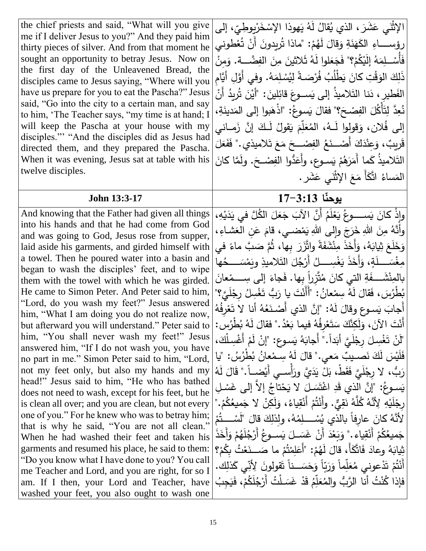the chief priests and said, "What will you give me if I deliver Jesus to you?" And they paid him thirty pieces of silver. And from that moment he sought an opportunity to betray Jesus. Now on the first day of the Unleavened Bread, the disciples came to Jesus saying, "Where will you have us prepare for you to eat the Pascha?" Jesus said, "Go into the city to a certain man, and say to him, 'The Teacher says, "my time is at hand; I will keep the Pascha at your house with my disciples."' "And the disciples did as Jesus had directed them, and they prepared the Pascha. When it was evening, Jesus sat at table with his twelve disciples.

الإِثْنَي عَشَرَ ، الذي يُقالُ لَهُ يَهوذا الإِسْخَرْبِوطِيِّ، إلى .<br>. .<br>ا ْ ٔ. رؤســــاءِ الكَهَنَةِ وَقالَ لَهُمْ: "ماذا تُريدونَ أَنْ تُعْطوني<br>فُ َ .<br>ا  $\epsilon$ .<br>-<u>َ</u> مُ  $\overline{\phantom{a}}$ <u>:</u> ِمن َّضَََََََّّّّّّّة. و ِ الف مِن َالثين ث َه لوا ل ع َج ؟ل ف م ك َي إل ه َ م ِ ل أ سَََََََّّّّّّّ َ ف َ .<br>ا .<br>ا َ ∶ُ ْ **ٔ** ْ ذَلِكَ الوَقْتِ كانَ يَطْلُبُ فُرْصَـةً لِيُسْلِمَهُ. وفي أَوَّلِ أَيَّامِ<br>-ا<br>ا ْ َ .<br>ا <u>َ</u> <u>ٔ</u> .<br>-الفَطيرِ ، دَنا التَلاميذُ إلى يَســوعَ قائِلينَ : "أَيْنَ تُرِيدُ أَنْ<br>.  $\frac{1}{\sqrt{2}}$  $\frac{1}{\sqrt{2}}$ َ نُعِدَّ لِتَأْكُلَ الفِصْحَ؟" فقالَ يَسوعُ: "اذْهَبوا إلى المَدينَةِ،<br>. َ ا<br>ا کا<br>.  $\overline{\phantom{a}}$  $\ddot{\phantom{0}}$ ا<br>ا إِلَى فُلان، وَقولوا لَــهُ، المُعَلِّمَ يَقولُ لَــكَ إنَّ زَمــانـي َ <u>َ</u> مُ لّ َ  $\overline{\phantom{a}}$ قَريبٌ، وَعِنْدَكَ أَصْـــنَـعُ الفِصْـــحَ مَعَ تَلاميذي ." فَفَعَلَ<br>-َ  $\zeta$ ً<br>ٌ  $\ddot{\phantom{0}}$ ا<br>ا ا<br>ا ا<br>ا ـَـٰ التَلاميذُ كَما أَمَرَهُمْ يَسـوع، وأَعَدُّوا الفِصْــحَ. ولَمَّا كانَ  $\ddot{\phantom{0}}$ ا<br>ا <u>م</u> ْ َ ا<br>ا المَساءُ اتَّكَأْ مَعَ الإثْنَيِ عَشَرٍ .  $\zeta$ 

# **ا يوحن 17-3:13 13:3-17 John**

And knowing that the Father had given all things into his hands and that he had come from God and was going to God, Jesus rose from supper, laid aside his garments, and girded himself with a towel. Then he poured water into a basin and began to wash the disciples' feet, and to wipe them with the towel with which he was girded. He came to Simon Peter. And Peter said to him, "Lord, do you wash my feet?" Jesus answered him, "What I am doing you do not realize now, but afterward you will understand." Peter said to him, "You shall never wash my feet!" Jesus answered him, "If I do not wash you, you have no part in me." Simon Peter said to him, "Lord, not my feet only, but also my hands and my head!" Jesus said to him, "He who has bathed does not need to wash, except for his feet, but he is clean all over; and you are clean, but not every one of you." For he knew who was to betray him; that is why he said, "You are not all clean." When he had washed their feet and taken his garments and resumed his place, he said to them: "Do you know what I have done to you? You call me Teacher and Lord, and you are right, for so I am. If I then, your Lord and Teacher, have washed your feet, you also ought to wash one

وإِذْ كَانَ يَسَـــوعُ يَعْلَمُ أَنَّ الآبَ جَعَلَ الْكُلَّ في يَدَيْهِ،<br>وَأَوْ كَانَ يَسَـــوعُ يَعْلَمُ أَنَّ الآبَ جَعَلَ الْكُلَّ في يَدَيْهِ، ֦֧<u>֡</u> .<br>ا .<br>ا  $\overline{\phantom{a}}$ َ  $\ddot{\phantom{0}}$ ْ <u>َ</u> وأَنَّهُ مِنَ اللهِ خَرَجَ وإلى اللهِ يَمْضـي، قامَ عَنِ الْعَشـاءِ،<br>وَأَنَّهُ مِنَ اللهِ خَرَجَ وإلى اللهِ يَمْضـي، فَمَ <u>ء</u> مُ ـا<br>≈ ્ في ً َّب ماء َّم ص ِبها، ث َ ر َ ًة واتَّز ْ َشف ن َ َذ مِ أَخ َ ، و ه َ ياب ِ ث َ َع ل َ خ َ و َ َ مِغْسَـــلَةٍ، وَأَخَذَ يَغْسِـــلُ أَرْجُلَ التَلاميذِ ويَمْسَـــحُها<br>ينسف القائلي َ َ ً<br>ب ا<br>ا .<br>ا بالمِنْشَـــفَةِ التي كانَ مُتَّزِراً بِها. فَجاءَ إلى سِـــمْعانَ<br>مِنْهُ سَيَّنَّةٍ مِنْ أَنْسَاءُ وَالْقَامِرَةُ وَالْقَامِرَةُ وَالْقَامَةِ ا<br>بر و<br>. <u>َ</u> بُطْرُسَ، فَقالَ لَمُ سِمْعانُ: "أَأَنْتَ يا رَبُّ تَغْسِلُ رِجْلَيَّ؟"<br>أَخْرُسَ الْقَالَ  $\overline{a}$ ֩**֟** ْ َ ُ<br>بہ أَجابَ يَسوع وقالَ لَهُ: "إِنَّ الذي أَصْـنَعُهُ أَنا لا تَعْرِفَهُ<br>أَهْمَدِينَ مَسَّلَمَ اللَّهُ عَلَيْهِ اللَّهُ عَلَيْهِ مِنْ الْمَالِمَةِ مِنْ الْمَالِمَةِ مِنْ الْمَوْلِ ْ ا<br>ا  $\overline{a}$ َ أَنْتَ الآنَ، وَلَكِنَّكَ سَتَعْرِفُهُ فيما بَعْدُ." فقالَ لَهُ بُطْرُسِ:<br>كَشَفْ الْمَنْ ْ ً<br>ب َ  $\overline{\phantom{0}}$ ْ "لَنْ تَغْسِلَ رِجْلَيَّ أَبَداً." أَجابَهُ يَسوع: "إنْ لَمْ أَغْسِلْكَ،<br>كَمَّدَ َ ْ .<br>-.<br>. .<br>ا  $\overline{a}$ **ٔ** <u>:</u> س ليا ْطر ب عان م ِ سَََّّّ َه ل عي.ل قال ٌب م َصَََّّّي ن َ َك ْ َس ل َي ل َ ف ْ  $\overline{a}$ ا<br>ا رَبُّ، لا رِجْلَيَّ فَقَط، بَلْ يَدَيَّ ورَأْسـي أَيْضـــاً." قَالَ لَهُ  $\overline{\phantom{a}}$ <u>ہ</u> َ  $\ddot{ }$ َ ່<br>. **ٔ** يَسوعُ: "إِنَّ الذي قَدِ اغْتَسَلَ لا يَحْتَاجُ إلاَّ إلى غَسْلِ<br>يَسْتَحَمَّسُ النَّاسُ الْقَدَّامُ ْ ْ ے<br>و رِجْلَيْهِ لِأَنَّهُ كُلَّهُ نَقِيٌّ. وأَنْتُمْ أَنْقِياءُ، وَلَكِنْ لا جَميعُكُمْ."<br>فَيَّاهُ مَنْ مَسْرَةً مِنْ فَيْ الْمَسْرِدِ الْمَالِمَةِ الْمَسْرَةِ الْمَسْتَمَرِّ." ْ  $\ddot{\phantom{0}}$ ءِ<br>ِ <u>ا</u> ْ ֡<u>֚</u>ׇ֖֚֡ ا<br>ا  $\frac{1}{2}$ ا<br>: م ت َسَََََََََََََّّّّّّّّّّّّّ لل قال ِك ، ولِذل ه م ِ ل سَََََََََََََّّّّّّّّّّّّّ ً بالذي ي َ عاِرفا كان ألنَّه ْ  $\overline{a}$ َ ِ<br>ْ جَميعُكُمْ أَنْقِياء ." وَبَعْدَ أَنْ غَسَــلَ يَســوعُ أَرْجُلَهُمْ وَأَخَذَ |<br>- يسميه التَّحْسَنَة عَمَّلَ الْمَسْلَمَة مِنْ الْمَسْلَمَة وَأَخَذَ | <u>ء</u><br>. ْ  $\overline{\phantom{0}}$ ے<br>ج .<br>ا ر<br>. :<br>; َ <u>ا</u> ْ ِثِيابَهُ وعادَ فَاتَّكَأَ ، قالَ لَهُمْ: "أَعَلِمْتُمْ ما صَـــنَعْتُ بِكُمْ؟<br>وَهُمُ يَعْظُمُونَ مِنْ يَامَ الْمَرْيَةِ مِنْ يَامَ مِنْ يَامَ مِنْ يَامَ مِنْ يَامَ ْ َ أ ْ َ ْ  $\overline{a}$ َ أَنْتُمْ تَدْعوني مُعَلِّماً وَرَبَّاً وَحَسَــناً تَقولونَ لِأَنِّي كَذلِك.<br>رين مُرُّثُورُ تَعوني مُعَلِّماً وَرَبَّاً وَحَسَــناً تَقولونَ لِأَنِّي كَذلِك. .<br>. <u>ِ</u> ـا<br>, ء<br>، َ َ لّ َ م<br>أ <u>َ</u> فإِذا كُنْتُ أنا الرَّبُّ والمُعَلِّمُ قَدْ غَسَـلْتُ أَرْجُلَكُمْ، فَيَجِبُ  $\ddot{ }$ َ ْ  $\overline{\phantom{a}}$ َ لّ َ

أ

 $\frac{1}{\sqrt{2}}$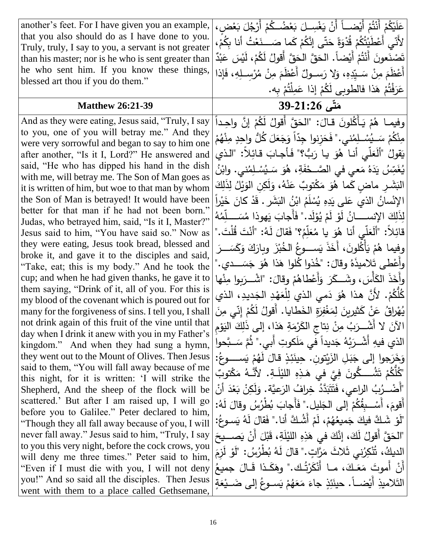| another's feet. For I have given you an example,<br>that you also should do as I have done to you.                                                                                                                                                                                                                                                                                                                                                                                                                                                                                                                                                                                                                                                                                                                                                                                                   | عَلَيْكُمْ أَنْتُمْ أَيْضِــاً أَنْ يَغْسِــلَ بَعْضُــكُمْ أَرْجُلَ بَعْضٍ،<br>لأَنِّي أَعْطَيْتُكُمْ قُدْوَةً حَتَّى إِنَّكُمْ كَما صَسِنَعْتُ أَنا بِكُمْ،                                                                                                                                                                                                                                                                                                                                                                                                                                                                                                                                                                                                                                                                                                                                                          |
|------------------------------------------------------------------------------------------------------------------------------------------------------------------------------------------------------------------------------------------------------------------------------------------------------------------------------------------------------------------------------------------------------------------------------------------------------------------------------------------------------------------------------------------------------------------------------------------------------------------------------------------------------------------------------------------------------------------------------------------------------------------------------------------------------------------------------------------------------------------------------------------------------|------------------------------------------------------------------------------------------------------------------------------------------------------------------------------------------------------------------------------------------------------------------------------------------------------------------------------------------------------------------------------------------------------------------------------------------------------------------------------------------------------------------------------------------------------------------------------------------------------------------------------------------------------------------------------------------------------------------------------------------------------------------------------------------------------------------------------------------------------------------------------------------------------------------------|
| Truly, truly, I say to you, a servant is not greater<br>than his master; nor is he who is sent greater than                                                                                                                                                                                                                                                                                                                                                                                                                                                                                                                                                                                                                                                                                                                                                                                          | تَصْنَعونَ أَنْتُمْ أَيْضاً. الحَقَّ الحَقَّ أَقولُ لَكُمْ، لَيْسَ عَبْدٌ                                                                                                                                                                                                                                                                                                                                                                                                                                                                                                                                                                                                                                                                                                                                                                                                                                              |
| he who sent him. If you know these things,                                                                                                                                                                                                                                                                                                                                                                                                                                                                                                                                                                                                                                                                                                                                                                                                                                                           | أَعْظَمَ مِنْ سَـيِّدِهِ، وَلا رَســولٌ أَعْظَمَ مِنْ مُرْســلِهِ، فَإِذا                                                                                                                                                                                                                                                                                                                                                                                                                                                                                                                                                                                                                                                                                                                                                                                                                                              |
| blessed art thou if you do them."                                                                                                                                                                                                                                                                                                                                                                                                                                                                                                                                                                                                                                                                                                                                                                                                                                                                    | عَرَفْتُمْ هَذا فالطوبِي لَكُمْ إذا عَمِلْتُمْ بِه.                                                                                                                                                                                                                                                                                                                                                                                                                                                                                                                                                                                                                                                                                                                                                                                                                                                                    |
| <b>Matthew 26:21-39</b>                                                                                                                                                                                                                                                                                                                                                                                                                                                                                                                                                                                                                                                                                                                                                                                                                                                                              | مَتَّى 21:26-39                                                                                                                                                                                                                                                                                                                                                                                                                                                                                                                                                                                                                                                                                                                                                                                                                                                                                                        |
| And as they were eating, Jesus said, "Truly, I say<br>to you, one of you will betray me." And they<br>were very sorrowful and began to say to him one<br>after another, "Is it I, Lord?" He answered and<br>said, "He who has dipped his hand in the dish<br>with me, will betray me. The Son of Man goes as<br>it is written of him, but woe to that man by whom<br>the Son of Man is betrayed! It would have been<br>better for that man if he had not been born."<br>Judas, who betrayed him, said, "Is it I, Master?"<br>Jesus said to him, "You have said so." Now as<br>they were eating, Jesus took bread, blessed and<br>broke it, and gave it to the disciples and said,<br>"Take, eat; this is my body." And he took the<br>cup; and when he had given thanks, he gave it to<br>them saying, "Drink of it, all of you. For this is<br>my blood of the covenant which is poured out for     | وفيمـا هُمْ يَـأْكُلُونَ قـالَ: "الْحَقَّ أَقُولُ لَكُمْ إِنَّ واحِـداً<br>مِنْكُمْ سَــيُسْــلِمُنـى." فَحَزنوا جِدّاً وَجَعَلَ كُلُّ واحِدٍ مِنْهُمْ<br>يَقولُ "أَلَعَلَّى أَنـا هُوَ يـا رَبُّ؟" فَأَجـابَ قـائِلاً: "الذي<br>يُغَضِّنُ يَدَهُ مَعى في الصَّـحْفَةِ، هُوَ سَـيُسْـلِمُني. وابْنُ<br>البَشَـرِ ماضٍ كَما هُوَ مَكْتوبٌ عَنْهُ، وَلَكِنِ الوَيْلُ لِذَلِكَ<br>الإِنْسانُ الذي عَلى يَدِهِ يُسْلَمُ ابْنُ البَشَرِ . قَدْ كانَ خَيْراً<br>لِذَلِكَ الإِنســـــانُ لَوْ لَمْ يُوْلَد." فَأَجابَ يَهوذا مُسَــــلِّمُهُ<br>قائِلاً: "أَلَعَلَّى أَنا هُوَ يا مُعَلِّمُ؟" فَقالَ لَهُ: "أَنْتَ قُلْتَ."<br>وفيما هُمْ يَأْكُلُونَ، أَخَذَ يَســـوعُ الْخُبْزَ وبِارَكَ وَكَسَـــرَ<br>وأعْطي تَلاميذَهُ وقالَ: "خُذوا كُلوا هَذا هُوَ جَسَــدي."<br>وَلَخَذَ الكَأْسَ، وشَـــكَرَ وَأَعْطَاهُمْ وقالَ: "اشْـــرَبِوا مِنْها<br>كُلّْكُمْ. لأَنَّ هذا هُوَ دَمى الذي لِلْعَهْدِ الجَديدِ، الذي             |
| many for the forgiveness of sins. I tell you, I shall<br>not drink again of this fruit of the vine until that<br>day when I drink it anew with you in my Father's<br>kingdom." And when they had sung a hymn,<br>they went out to the Mount of Olives. Then Jesus<br>said to them, "You will fall away because of me<br>this night, for it is written: 'I will strike the<br>Shepherd, And the sheep of the flock will be<br>scattered.' But after I am raised up, I will go<br>before you to Galilee." Peter declared to him,<br>"Though they all fall away because of you, I will<br>never fall away." Jesus said to him, "Truly, I say<br>to you this very night, before the cock crows, you<br>will deny me three times." Peter said to him,<br>"Even if I must die with you, I will not deny<br>you!" And so said all the disciples. Then Jesus<br>went with them to a place called Gethsemane, | يُهْرِاقُ عَنْ كَثِيرِينَ لِمَغْفِرَةِ الخَطَايا. أَقولُ لَكُمْ إِنِّي مِنَ<br>الآنَ لا أَشْــرَبُ مِنْ نِتاجٍ الكَرْمَةِ هَذا، إلى ذَلِكَ اليَوْمِ<br>الذي فيهِ أَشْــرَبُهُ جَديداً في مَلَكوتِ أَبـي." ثُمَّ سَــبَّحوا<br>وَخَرَجوا إِلَى جَبَلِ الزِّبْتونِ. حِينَئِذٍ قَالَ لَهُمْ يَســــوعُ:<br>"كُلّْكُمْ تَشُــــكُونَ فِيَّ فـى هَـذِهِ اللَّيْلَـةِ. لأَنَّــهُ مَكْتوبٌ<br>"أَضْــرُبُ الراعي، فَتَتَبَدَّدُ خِرافُ الرَعيَّة. وَلَكِنْ بَعْدَ أَنْ<br>أَقومَ، أَسْـــبقُكُمْ إِلـى الـجَليل ." فَأَجابَ بُطْرُسُ وقالَ لَهُ:<br>"لَوْ شَكَّ فيكَ جَميعُهُمْ، لَمْ أَشُكَّ أنا." فَقالَ لَهُ يَسوعُ: '<br>"الْحَقَّ أَقُولُ لَكَ، إِنَّكَ في هَذِهِ اللَّيْلَةِ، قَبْلَ أَنْ يَصــــيحَ<br>الديكُ، تُنْكِرُني ثَلاثَ مَرَّاتٍ." قالَ لَهُ بُطْرُسُ: "لَوْ لَزِمَ<br>أَنْ أَموتَ مَعَكَ، مـا أَنْكَرْتُك." وهَكَـذا قَـالَ جميعُ<br>التَلاميذِ أَيْضـــاً. حينَئِذٍ جاءَ مَعَهُمْ يَســوعُ إلى ضَـــيْعَةٍ |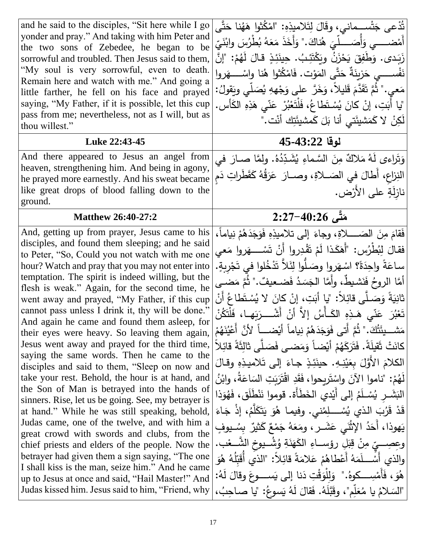تُّدْعى جَتْسبماني، وقَالَ لِتَلاميذِهِ: "امْكُثوا هَهُنا حَتَّى<br>ءَ َ <u>ئي</u> ا<br>ا  $\overline{a}$ َ .<br>م َي ن َس واب ْطر ب ه ع َ َذ م أَخ .ل و ناك ه لّي أ صََََََََََََّّّّّّّّّّّّ َ ْضََََََََََََّّّّّّّّّّّّي و أَم ْ َ ً<br>ً َ .<br>ا .<br>. َ زَبَدى. وَطَفِقَ يَحْزَنُ ويَكْتَئِبُ. حِينَئِذٍ قَالَ لَهُمْ: "إِنَّ<br>. ْ  $\overline{a}$ َ <u>بَ</u> <u>ٔ</u>  $\frac{1}{2}$ ا<br>. تَّى الم ةٌ ح َ زين َ ْسَََََََََََََّّّّّّّّّّّّّي ح ف َ ن روا ه نا واسَََََََََََََّّّّّّّّّّّّّ ثوا ه ك ام ْ ت. ف و َ  $\epsilon$ ْ ا<br>ا َ مَعي." ثُمَّ تَقَدَّمَ قَليلاً، وَخَرَّ على وَجْههِ يُصَلِّي ويَقولُ:<br>تيفوُّر تَقَدَّمَ قَليلاً، وَخَرَّ على وَجْههِ يُصَلِّي ويَقولُ: َ َ **:** َ َ َ َ "يا أَبَتِ، إنْ كانَ يُسْتَطاعُ، فَلْتَعْبُرْ عَنّي هَذِهِ الكَأْس.<br>َ َ گ<br>ا <u>م</u> **ٔ** ـا<br>. .<br>-لَكِنْ لا كَمَشيئَتي أنا بَلَ كَمشيئَتِك أنْت." َ  $\overline{\phantom{0}}$ ĺ and he said to the disciples, "Sit here while I go yonder and pray." And taking with him Peter and the two sons of Zebedee, he began to be sorrowful and troubled. Then Jesus said to them, "My soul is very sorrowful, even to death. Remain here and watch with me." And going a little farther, he fell on his face and prayed saying, "My Father, if it is possible, let this cup pass from me; nevertheless, not as I will, but as thou willest." **لوقا 45-43:22 22:43-45 Luke** نِّدُهُ. ولمَّا صـارَ في .<br>م وَتَراءى لَهُ مَلاَكٌ مِنَ السَّماءِ يُشَدِّ .<br>-النِزاعِ، أَطالَ فِي الصَـــلاةِ، وصـــارَ عَرَقُهُ كَقَطَراتِ دَمِ .<br>ا َ .<br>م نازِلَةٍ على الأَرْض. And there appeared to Jesus an angel from heaven, strengthening him. And being in agony, he prayed more earnestly. And his sweat became like great drops of blood falling down to the ground. **َّ ى م -40:26 2:27 26:40-27:2 Matthew َ** ،ً ياما ِ ن م َه د ج َو ف ِ ه ِ إلى تالميذ ، وجاء ِ َ الة الصَََََََََََّّّّّّّّّّّ َ مِن َ َقام ف ْ ֺ֧<sup>ֺ</sup> َ َ فقالَ لِبُطْرُس: "أَهَكَـٰذا لَمْ تَقْدِروا أَنْ تَسْــــهَروا مَعي ا<br>ا  $\epsilon$ **ٔ** <u>:</u> اً<br>ا ْ ر<br>گ ساعَةً واحِدَةً؟ اسْهَروا وصَلُّوا لِثَلاَّ تَدْخُلوا في تَجْرِبةٍ.<br>و **:** َ  $\epsilon$ ا<br>پر أَمَّا الروحُ فَنَشْيط، وأَمَّا الْجَسَدُ فَضْـعيفٌ." ثُمَّ مَضْـي<br>سَبِّ الْمَالِّذِينَ مَّسْتَمَّلُونَ مِنْ الْمُسْتَمَرِّينَ مَنْ الْمُسْتَمَّلُونَ مَنْ الْمُؤْمِنَ ً<br>ب ثانِيَةً وَصَـلَّى قائِلاً: "يا أَبَتِ، إنْ كانَ لا يُسْتَطاعُ أَنْ<br>كَذِي تَجْمُدُ <u>:</u> ْ .<br>ا <u>:</u> تَعْبُرَ عَنّي هَـذِهِ الكَـأْسُ إلاَّ أَنْ أَشْـــرَبَهـا، فَلْتَكُنْ<br>. <u>:</u> َ .<br>-<br>-َ ْ م<br>م مَشــــيئَتُّكَ ." ثُمَّ أَتى فَوَجَدَهُمْ نِياماً أَيْضــــاً لأَنَّ أَعْيُنَهُمْ<br>منده كَتَبَّةً أَتى فَوَجَدَهُمْ نِياماً أَيْضـــاً لأَنَّ أَعْيُنَهُمْ **ٔ** ْ  $\ddot{\phantom{0}}$ ءِ<br>ِ كانَتْ ثَقيلَةً. فَتَرَكَهُمْ أَيْضاً وَمَضى فَصَلَّى ثالِثَةً قائِلاً<br>سيسد المُفَانِينَ َ َ ْ .<br>م .<br>. الكلامَ الأَوَّلَ بِعَيْنِهِ. حينَئِذٍ جاءَ إلى تَلاميذِهِ وقالَ<br>نَ **ء**<br>. َ ْ َ لَهُمْ: "ناموا الآنَ واسْتَربحوا، فَقَدِ اقْتَرَبَتِ السَاعَةُ، وابْنُ <u>ء</u> ـا<br>: ــا<br>أ .<br>م ا<br>ئ ْ الْبَشَــرِ يُسْــلَمُ إلـى أَيْدي الخَطَأَة. قوموا نَنْطَلَق، فَهُوَذا<br>يَهْ يَسَبِّدُ بِـرَّسَامُ إِلَى أَيْدي َ ֡<u>֡</u> َ َ **ّ** ْ َ و ني. وفيمَّا ه م ِ ل سَََََََََََََّّّّّّّّّّّّّ الَّذي ي َ ب َر ق َد قَّ اء ، إْذ جَّ م َّ ل َك ت ي ْ .<br>.<br>. َ  $\ddot{\phantom{0}}$ َ َبَا<br>ا يو ٍف ِبسَََّّّ َّ ٌ ثير ك ٌ ع م ج ه ع َ ر، وم َشَََّّّ َّ َي ع ْن اإلث د َ هوذا، أَح َ ي َ ا<br>ا ֺ֧<sup>ֺ</sup> َ ا<br>.<br>. مِنْ قِبَلِ رؤســاءِ الكَهَذَةِ وُشُـــيوخِ الشَّــعْب.<br>مَمَّــوْجَمَعَةَ مِنْ اب<br>ا  $\epsilon$ .<br>. .<br>-.<br>مس وعِصِــــيِّ َ والذي أَشَّــلَمَهُ أَعْطَاهُمْ عَلامَةً قائِلاً: "الذي أُقَبِّلُهُ هُوَ<br>. <u>ٰ</u> ً<br>ً ْ ْ نا إلى ِت د ق ْلو .ل و كوه ِ سَََََََََََّّّّّّّّّّّ أَم َ ، ف َ و ه َه ل َ وقال َسَََََََََََّّّّّّّّّّّوع ي .<br>ا ْ ءِ<br>ُ لِ ءِ<br>پ ا<br>ا  $\overline{\phantom{0}}$ "السَلامُ يا مُعَلِّم"، وقَبَّلَهُ. فَقالَ لَهُ يَسوعُ: "يا صاحِبُ، <u>֝</u> And, getting up from prayer, Jesus came to his disciples, and found them sleeping; and he said to Peter, "So, Could you not watch with me one hour? Watch and pray that you may not enter into temptation. The spirit is indeed willing, but the flesh is weak." Again, for the second time, he went away and prayed, "My Father, if this cup cannot pass unless I drink it, thy will be done." And again he came and found them asleep, for their eyes were heavy. So leaving them again, Jesus went away and prayed for the third time, saying the same words. Then he came to the disciples and said to them, "Sleep on now and take your rest. Behold, the hour is at hand, and the Son of Man is betrayed into the hands of sinners. Rise, let us be going. See, my betrayer is at hand." While he was still speaking, behold, Judas came, one of the twelve, and with him a great crowd with swords and clubs, from the chief priests and elders of the people. Now the betrayer had given them a sign saying, "The one I shall kiss is the man, seize him." And he came up to Jesus at once and said, "Hail Master!" And Judas kissed him. Jesus said to him, "Friend, why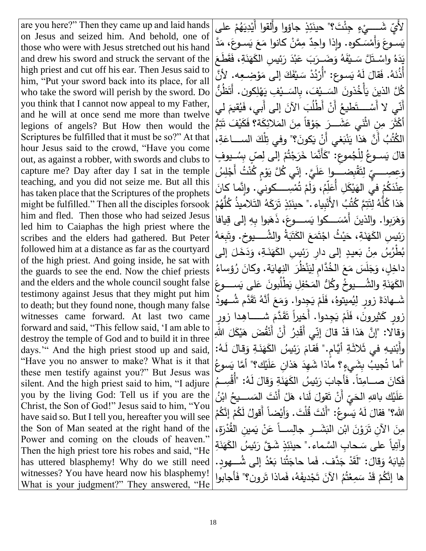are you here?" Then they came up and laid hands on Jesus and seized him. And behold, one of those who were with Jesus stretched out his hand and drew his sword and struck the servant of the high priest and cut off his ear. Then Jesus said to him, "Put your sword back into its place, for all who take the sword will perish by the sword. Do you think that I cannot now appeal to my Father, and he will at once send me more than twelve legions of angels? But How then would the Scriptures be fulfilled that it must be so?" At that hour Jesus said to the crowd, "Have you come out, as against a robber, with swords and clubs to capture me? Day after day I sat in the temple teaching, and you did not seize me. But all this has taken place that the Scriptures of the prophets might be fulfilled." Then all the disciples forsook him and fled. Then those who had seized Jesus led him to Caiaphas the high priest where the scribes and the elders had gathered. But Peter followed him at a distance as far as the courtyard of the high priest. And going inside, he sat with the guards to see the end. Now the chief priests and the elders and the whole council sought false testimony against Jesus that they might put him to death; but they found none, though many false witnesses came forward. At last two came forward and said, "This fellow said, 'I am able to destroy the temple of God and to build it in three days.'" And the high priest stood up and said, "Have you no answer to make? What is it that these men testify against you?" But Jesus was silent. And the high priest said to him, "I adjure you by the living God: Tell us if you are the Christ, the Son of God!" Jesus said to him, "You have said so. But I tell you, hereafter you will see the Son of Man seated at the right hand of the Power and coming on the clouds of heaven." Then the high priest tore his robes and said, "He has uttered blasphemy! Why do we still need witnesses? You have heard now his blasphemy! What is your judgment?" They answered, "He

لأَيِّ شَــِـيْءٍ جِئْتَ؟" حينَئِذٍ جاؤوا وأَلقوا أَيْدِيَهُمْ على<br>\*\*\* ْ ٔ. **ٔ** َ .<br>. يَسوعَ وَأَمْسَـكوه. وإذا واحِدٌ مِمَّنْ كانوا مَعَ يَسـوعَ، مَدَّ<br>مزيد من الله َ َ  $\zeta$ َ ا<br>.. .<br>ا يَدَهُ واسْتَلَّ سَتِّفَهُ وَضَـرَبَ عَبْدَ رَئِيسِ الْكَهَنَةِ، فَقَطَعَ<br>ثُمُّ يَسْتَلَّ سَتَّفَّهُ وَضَـرَبَ ْبَاءِ<br>پا <u>م</u> ֦֘<u>֦</u> ـا<br>. َ َ  $\triangleleft$ .<br>م أَذُنَهُ. فَقالَ لَهُ يَسوع: "أَرْدُدْ سَيْفَكَ إلى مَوْضِعِه. لأَنَّ<br>مُسِّد اللَّهُ عَلَيْهِ فَقَالَ عَلَيْهِ ا<br>. َ <u>ٔ</u> ً<br>أ .<br>ا كُلَّ الذينَ يَأْخُذونَ السَّـيْفَ، بِالسَـيْفِ يَهْلِكون. أَتَظُنُّ<br>وَسَعَّمَتْ اللَّهُ عَلَيْهِ وَجَمْهُمْ عَلَيْهِ وَجَمْهُمْ عَلَيْهِ وَالْمَلِيِّ وَالْمَعْلُمُونَ **ٔ** َ **ٔ** ـ<br>. ـا<br>. .<br>-مُ أَنِّي لا أَسْـــتَطْيعُ أَنْ أَطْلَبَ الْأَنَ إِلَى أَبي، فَيُقيمَ لِي |<br>\*\*\* <u>ہ</u> <u>َ</u> **∶** .<br>-ْ ْ أَكْثَرَ مِنِ اثْنَي عَشَـــرَ جَوْقاً مِنَ المَلائِكَة؟ فَكَيْفَ تَتِمُّ<br>سَمُمُن خَمَّةٍ ֺ֧<sup>ֺ</sup> ْ <u>بَ</u> َ <u>َ</u>ـٰ الكُتُبُ أَنَّ هَذا يَنْبَغي أَنْ يَكونَ؟" وفي تِلْكَ الســــاعَةِ،<br>. <u>م</u> َ .<br>-.<br>ا .<br>-<br>-ٔ. <u>ا</u> َـاً؛ صِّ بِسُــيوفٍ<br>مُرَّف تَصد قالَ يَســوعُ لِلْجُموعِ: "كَأَنَّمَا خَرَجْتُمْ إِلـى لِـ ْ **:** َ َ يِّ لِتَقْبِضـــُـوا عَلَيَّ. إِنِّي كُلَّ يَوْمٍ كُنْتُ أَجْلِسُ **:** ْ .<br>با  $\overline{a}$ َ ٚ<br>ٔ .<br>ا و<u>َعِصِـــــيِّ</u><br>وَرَكَ َ عِنْدَكُمْ في الهَيْكَلِ أُعَلِّمُ، وَلَمْ تُمْسِـــكونيَ. وإِنَّما كانَ<br>مِنْدَكُمْ في الهَيْكَلِ أُعَلِّمُ، وَإِنَّه **ٔ** €<br>≀ م<br>و <u>ا</u>  $\frac{1}{\sqrt{2}}$ ا<br>ا ْ َ لّ ء<br>َ أ هَذا كُلُّهُ لِتَتِمَّ كُتُبُ الأَنْبِياء ." حينَئِذٍ تَرَكَهُ النَّلاميذُ كُلُّهُمْ َ َ <u>ا</u> وَهَرَبوا. والذينَ أَمْسَـــكوا يَســــوعَ، ذَهَبوا بِهِ إلى قِيافا ،<br>ا ؟ ً<br>ً ا<br>ا رَئِيسِ الكَهَنَةِ، حَيْثُ اجْتَمَعَ الكَتَبَةُ والشُّـــــــيوخ. وتَبِعَهُ<br>يقيس َ <u>بَ</u> َ <u>آ</u> َ  $\zeta$ ا<br>ا **:** َ بُطْرُسُ مِنْ بَعيدٍ إلى دارِ رَئِيسِ الكَهَنَّةِ، وَدَخَلَ إلى  $\overline{a}$ َ اب<br>ا  $\epsilon$ ٔ .<br>-داخِلٍ، وَجَلَسَ مَعَ الْخُدَّامِ لِيَنْظُرَ النِهايَة. وكانَ رُؤساءُ<br>ويَجَلِسُ مَعَ الْخُدَّامِ لِيَنْظُرَ  $\ddot{ }$ َ .<br>با ֜֩ ا<br>ا َ الكَهَذَةِ والشُّـــــــــــــــــــــــوخُ وكُلُّ الْمَحْفِلِ يَطْلُبونَ عَلــى يَســــــــوعَ<br>يَسْتَقْدَّفُ والشُّــــــــــــــــوخُ وكُلُّ الْمَحْفِلِ يَطْلُبونَ عَلــى يَســـــــــوعَ َ <u>َبَا</u> <u>ٔ</u> ا<br>ا ثَسَـهادَةَ زورٍ لِيُمِيتوهُ، فَلَمْ يَجِدوا. وَمَعَ أَنَّهُ تَقَدَّم شُـهودُ .<br>م <u>آ</u>  $\zeta$ ٔ ء<br>ِ  $\ddot{\phantom{0}}$ ْ <u>ہ</u> زورٍ كَثيرونَ، فَلَمْ يَجِدوا. أَخيراً تَقَدَّمَ شـــــاهِدا زورٍ مُ ٍ<br>ء <u>َ</u> م<br>أ َ وَقالا: "إنَّ هَذا قَدْ قالَ إنِّي أَقْدِرُ أَنْ أَنْقُضَ هَيْكَلَ اللَّهِ<br>وَ ֦֧<u>֦</u> ى<br>ئ <u>َ</u> <u>:</u>  $\overline{\phantom{0}}$ .<br>-<br>-وأَبْنيهِ في ثَلاثَةِ أَيَّامٍ." فَقامَ رَئِيسُ الكَهَنَةِ وَقالَ لَـهُ:<br>\*  $\overline{\phantom{a}}$ ِ<br>ئ ا<br>ا  $\epsilon$ َ مُ ْ َ "أما تُجيبُ بِشَيءٍ؟ مَاذا شَهِدَ هَذانِ عَلَيْك؟" أمَّا يَسوعُ<br>ِ ى<br>ئا َ فَكانَ صـــامِتاً. فَأجابَ رَئِيسُ الْكَهَنَةِ وَقالَ لَهُ: "أُقْسِــمُ<br>فَكانَ صـــامِتاً. فَأجابَ رَئِيسُ الْكَهَنَةِ وَقالَ لَهُ: "أُقْسِــمُ  $\overline{\phantom{a}}$ َ .<br>ا  $\epsilon$ .<br>م **:** َ عَلَيْك باللهِ الحَيِّ أَنْ تَقولَ لَنا، هَلْ أَنْتَ المَســـيحُ ابْنُ<br>ا ا<br>ا ֡֡<u>֡</u>  $\overline{\phantom{0}}$ <u>َ</u> <u>:</u> ِ<br>په ْ الله؟" فقالَ لَـهُ يَسوعُ: "أَنْتَ قُلتَ. وَأَيْضِاً أَقولُ لَكُمْ إِنَّكُمْ أ َ مِنَ الآنِ تَرَوْنَ ابْنِ الْبَشَــرِ جالِســاً عَنْ يَمينِ الْقُدْرَةِ،<br>-<u>ٔ</u> َ .<br>ا <u>:</u> َ وآتِياً على سَحابِ السَّماء." حينَئِذٍ شَقَّ رَئِيسُ الْكَهَنَةِ<br>يَذِينَ سَبِّئَةٌ وَسَبِّئَةٌ الْمُسْتَفِينَ مِنْ الْمَسْتَفِينَ ا<br>ا  $\epsilon$ َ َ َ ثِيابَهُ وَقالَ: "لَقَدْ جَدَّف. فَما حاجَتُنا بَعْدُ إلى شُــهودٍ.<br>مستشفى الصحيح ْ ٔ.  $\ddot{\phantom{0}}$  $\ddot{\phantom{0}}$ ها إنَّكُمْ قَدْ سَمِعْتُمُ الآنَ تَجْديفَهُ، فَماذا تَرون؟" فَأجابوا َ **ٔ** .<br>ا ْ ْ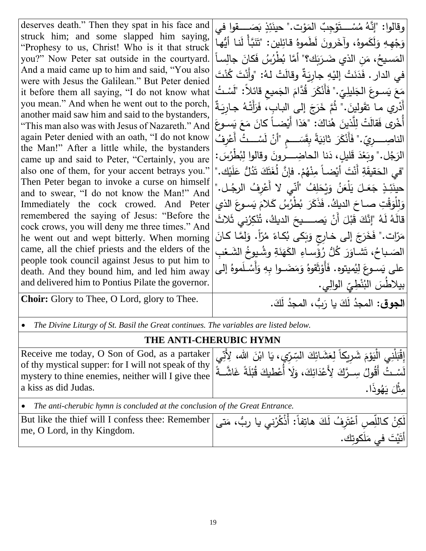deserves death." Then they spat in his face and struck him; and some slapped him saying, "Prophesy to us, Christ! Who is it that struck you?" Now Peter sat outside in the courtyard. And a maid came up to him and said, "You also were with Jesus the Galilean." But Peter denied it before them all saying, "I do not know what you mean." And when he went out to the porch, another maid saw him and said to the bystanders, "This man also was with Jesus of Nazareth." And again Peter denied with an oath, "I do not know the Man!" After a little while, the bystanders came up and said to Peter, "Certainly, you are also one of them, for your accent betrays you." Then Peter began to invoke a curse on himself and to swear, "I do not know the Man!" And Immediately the cock crowed. And Peter remembered the saying of Jesus: "Before the cock crows, you will deny me three times." And he went out and wept bitterly. When morning came, all the chief priests and the elders of the people took council against Jesus to put him to death. And they bound him, and led him away and delivered him to Pontius Pilate the governor.

وقالوا: "إِنَّهُ مُسْـــتَوْجِبٌ المَوْت." حينَئِذٍ بَصَــــقوا في<br>وقالوا: ً<br>ً َ َ ْ ْ وَجْهِهِ وَلَكَموهُ، وآخَرونَ لَطَموهُ قائِلين: "تَتَبَّأْ لَنا أَيُّها<br>-َ <u>آ</u>  $\frac{1}{\sqrt{2}}$ **ٔ** ً ِسََّّا َ جال َكان س ف ْطر َك؟ل أ َّما ب ب َ ر ِن الذي ضََّّ َ ، م سََّّيح َ الم .<br>م في الدار . فَدَنَتْ إليْهِ جارِيَةٌ وقالَتْ لـهُ: "وأَنْتَ كُنْتَ<br>. َ  $\frac{1}{2}$  $\overline{a}$ مَعَ يَسـوعَ الجَليلِيِّ." فَأَنْكَرَ قُدَّامَ الجَميعِ قائلاً: "لَسْـتُ<br>أَمْ **∶** مُ َ <u>ہ</u> ֪֖֧֢֦֧֝֝֝֝֝֬<u>֓</u> ي أَدْرِي ما تقَولينَ." ثُمَّ خَرَجَ إلى البابِ، فَرَأَتْهُ جارِيَةٌ<br>أُمْ  $\ddot{•}$ َ  $\tilde{\cdot}$  $\frac{1}{\sqrt{2}}$ َ أُخْرى فَقالَتْ لِلَّذينَ هُناكَ: "هَذا أَيْضــاً كانَ مَعَ يَسـوعَ<br>.  $\zeta$ ا<br>ا <u>َ</u>ـٰ ،<br>ک َ الناصِـــــــرِيّ. " فَأَنْكَرَ ثانِيَةً بِقَسَــــمٍ "أَنْ لَسْــــدُّ أَعْرِفُ<br>. ْ <u>:</u> ً<br>أ َ .<br>ب <u>ہ</u> َ ل.ل وب َج َس الر ْطر ب ِ َ وقالوا ل ِ رون نا الحاضََََََََََّّّّّّّّّّ لي ٍل، د ق َ د ع  $\ddot{ }$ <u>ٰ</u> ْ "في الحَقيقَةِ أَنْتَ أَيْضـاً مِنْهُمْ. فإنَّ لُغَتَكَ تَذُلُّ عَلَيْك."<br>" َ َ .<br>و ْ حينَئِذٍ جَعَلَ يَلْعَنُ وَيْحَلِفُ "أَنِّي لا أَعْرِفُ الرجُل."<br>-ْ َ َ  $\ddot{ }$ وَلِلْوَقْتِ صـاحَ الديكُ. فَذَكَرَ بُطْرُسُ كَلامَ يَسوعَ الذي<br>يَذَرُدَ يَسَوَّلُ عَلَيْهِ مَثَلاً َ مَ َ <u>ٔ</u> لِ قالَهُ لَهُ "إِنَّكَ قَبْلَ أَنْ يَصــــــيحَ الديكُ، تُنْكِرُني ثَلاثَ  $\tilde{\phantom{0}}$ .<br>- $\overline{\phantom{0}}$ <u>ہ</u>  $\frac{1}{2}$ ل َّمَّا كَّان .ً و ا ّ ر م ً كَّاء كى ب ب إلى خَّاِرٍج و َ َج َر َخ ات.ل ف ّ ر َ م ء<br>و .<br>. َ الصَّـباحُ، تَشَـاوَرَ كُلُّ رُؤِّساءِ الكَهَنَةِ وشُـيوخُ الشَّـعْبِ<br>الصَّـباحُ، تَشـاوَرَ كُلُّ رُؤِّساءِ الكَهَنَةِ وشُـيوخُ الشَّـعْبِ ا<br>ا  $\epsilon$ .<br>م َ ْ على يَسـوعَ لِيُميتوه. فَأَوْثَقوهُ وَمَضَــوا بِهِ وَأَسْـلَموهُ إلى<br>معده في الله عليه الله عليه الله عليه الله عليه الله عليه الله ْ َ َ ؛<br>' َ بيلاطس البُنْطِيِّ<br>مستقدم البُنْطِيِّ الوالِي. <u>ّ</u>

**Choir:** Glory to Thee, O Lord, glory to Thee.

ا**لجوق:** المجدُ لَكَ يا رَبُّ، المجدُ لَكَ. .<br>م َ َ

.<br>ا

ِي ّ ِألَن َ هللا، ْن ا اب ِي، ي ّ ِ ر ّ السَّ ِك ائ َشَّ ع ِ ً ل ِريكا َ شَّ م و َ ِي اْلي ْلن َ ْب ِإق

َ

َ

َ َ :<br>ا <u>م</u>

 $\ddot{=}$ 

َ

**ٔ** 

• *The Divine Liturgy of St. Basil the Great continues. The variables are listed below.*

### **THE ANTI-CHERUBIC HYMN**

Receive me today, O Son of God, as a partaker of thy mystical supper: for I will not speak of thy mystery to thine enemies, neither will I give thee a kiss as did Judas.

لَسْتُ أَقُولُ سِـرَّكَ لِأَعْدَائِكَ، وَلَا أَعْطيكَ قُبْلَةً غَاشَّـةً مِثْلَ يَهُوذَا.

مُ ؛<br>.

• *The anti-cherubic hymn is concluded at the conclusion of the Great Entrance.*

| me, O Lord, in thy Kingdom. | لَكِنْ كاللَّصِ أَعْتَرِفُ لَكَ هاتِفاً: أُذْكُرْنِي يا ربُّ، مَتى  But like the thief will I confess thee: Remember |
|-----------------------------|----------------------------------------------------------------------------------------------------------------------|
|                             | أَتَيْتَ في مَلَكوتِك.                                                                                               |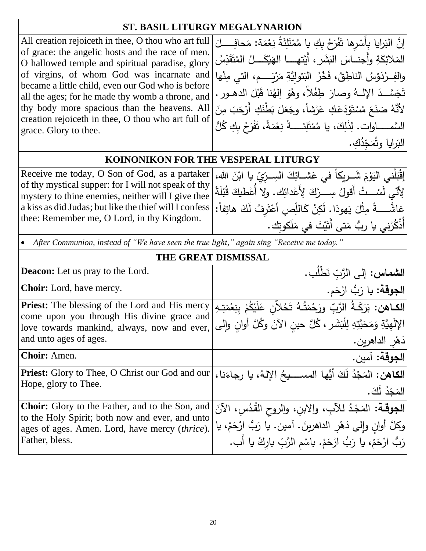## **ST. BASIL LITURGY MEGALYNARION**

All creation rejoiceth in thee, O thou who art full of grace: the angelic hosts and the race of men. O hallowed temple and spiritual paradise, glory of virgins, of whom God was incarnate and became a little child, even our God who is before all the ages; for he made thy womb a throne, and thy body more spacious than the heavens. All creation rejoiceth in thee, O thou who art full of grace. Glory to thee.

إ َّن َ الب اريا ِبأَ َْف َ سَِّرها <sup>ت</sup> ر ِك ح ِب يا م َم ت ِ ل ِ ًة ن ع مة م ِ َ حاف َََََََََََََّّّّّّّّّّّّّ َّل ْ ا<br>ا <u>َ</u> ْ ا<br>. ا<br>ا المَلائِكَةِ وأَجنــاسَ النَشَرِ ، أَيَّتهــــا الـهَيْكَــــلُ المُتَقَدِّ َ  $\epsilon$ **ٔ** َ <u>َ</u> .<br>م ڊ*سُ* والفِــرْدَوْسُ الناطِقُ، فَخْرُ البَتولِيَّةِ مَرْيَـــــم، التي مِنْها | .<br>أ ْ َ .<br>ب <u>ا</u> تَجَسَّــدَ الإلــهُ وصارَ طِفْلاً، وهُوَ إلـهُنا قَبْلَ الدهــور .|<br>فَكَانَتْ .<br>م .<br>م <u>ٰ</u> **ٔ**  $\overline{\phantom{0}}$  ألنَّ ه َ ع َ ن صَ م ست َو ِك د َ ع ْع ر ،ً وج َ شا ع َل ِك ب ْط ن أَر م َ<sup>ح</sup> ِ ب َن ْ  $\frac{1}{2}$ <u>ٔ</u> َّ <u>م</u>  $\ddot{\phantom{0}}$  $\overline{a}$ َ .<br>أ َ السَّمــــــاوات. لِذَلِكَ، يا مُمْتَلِئـــــةً نِعْمَةً، تَفْرَحُ بِكِ كُلُّ<br>مُسْتَمِينٍ َ ا<br>ا ْ ً<br>ٌ َ البَرايا وثُمَجِّدُ<u>كِ.</u>

### **KOINONIKON FOR THE VESPERAL LITURGY**

Receive me today, O Son of God, as a partaker of thy mystical supper: for I will not speak of thy mystery to thine enemies, neither will I give thee a kiss as did Judas; but like the thief will I confess thee: Remember me, O Lord, in thy Kingdom.

إِقْبَلْني اليَوْمَ شَــريكاً في عَشــائِكَ السِــرِّيِّ يا ابْنَ الله،<br>أَ َ ؛<br>' لِأَنِّي لَسْـــتُ أَقولُ سِـــرَّكَ لِأَعْدائِك. ولا أُعْطيكَ قُبْلَةً **ٔ** َ **ٔ** .<br>تا غاشَّـــةً مِثْلَ يَهوذا. لَكِنْ كَاللَّصِ أَعْتَرِفُ لَكَ هاتِفاً:<br>وُفِي <u>َ:</u>  $\frac{1}{2}$ ْ َ أَذْكُرْني يا ربُّ مَتى أَتَيْتَ في مَلَكوتِك.<br>-ا<br>- $\frac{1}{2}$ ا<br>-<u>ٰ</u>

• *After Communion, instead of "We have seen the true light," again sing "Receive me today."*

| THE GREAT DISMISSAL                                                                                       |                                                                                      |  |
|-----------------------------------------------------------------------------------------------------------|--------------------------------------------------------------------------------------|--|
| <b>Deacon:</b> Let us pray to the Lord.                                                                   | ا <b>لشماس:</b> إلى الرَّبّ نَطْلُب.                                                 |  |
| <b>Choir:</b> Lord, have mercy.                                                                           | ا <b>لجوقة:</b> يا رَبُّ ارْحَم.                                                     |  |
| <b>Priest:</b> The blessing of the Lord and His mercy                                                     | ا <b>لكـاهن:</b> بَرَكَـةُ الرَّبِّ ورَحْمَتُـهُ تَحُلاَّنِ عَلَيْكُمْ بِنِعْمَتِـهِ |  |
| come upon you through His divine grace and<br>love towards mankind, always, now and ever,                 | الإِلَهِيَّةِ وَمَحَبَّتِهِ لِلْبَشَرِ ، كُلَّ حينِ الآنَ وكُلَّ أُوانٍ وإِلَى       |  |
| and unto ages of ages.                                                                                    | دَهْرِ الداهرين.                                                                     |  |
| <b>Choir:</b> Amen.                                                                                       | الجوقة: آمين.                                                                        |  |
| <b>Priest:</b> Glory to Thee, O Christ our God and our                                                    | الكاهن: المَجْدُ لَكَ أَيُّها المســــيحُ الإِلهُ، يا رجاءَنا،                       |  |
| Hope, glory to Thee.                                                                                      | المَجْدُ لَكَ.                                                                       |  |
| <b>Choir:</b> Glory to the Father, and to the Son, and                                                    | ا <b>لجوقـة:</b> المَجْدُ للآبِ، والابنِ، والروح القُدُسِ، الآنَ                     |  |
| to the Holy Spirit; both now and ever, and unto<br>ages of ages. Amen. Lord, have mercy <i>(thrice)</i> . | وكلَّ أوانِ وإلى دَهْرِ الداهرينَ. آمين. يا رَبُّ ارْحَمْ، يا                        |  |
| Father, bless.                                                                                            | رَبُّ ارْحَمْ، يا رَبُّ ارْحَمْ. باسْمِ الرَّبِّ بارِكْ يا أب.                       |  |